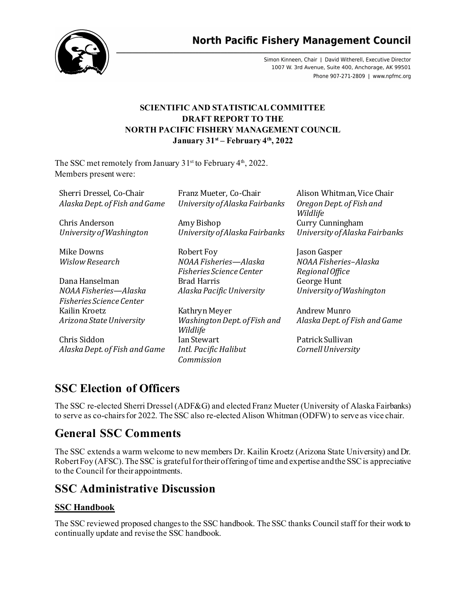

**North Pacific Fishery Management Council** 

Simon Kinneen, Chair | David Witherell, Executive Director 1007 W. 3rd Avenue, Suite 400, Anchorage, AK 99501 Phone 907-271-2809 | www.npfmc.org

## **SCIENTIFIC AND STATISTICAL COMMITTEE DRAFT REPORT TO THE NORTH PACIFIC FISHERY MANAGEMENT COUNCIL January 31st – February 4th, 2022**

The SSC met remotely from January  $31<sup>st</sup>$  to February  $4<sup>th</sup>$ , 2022. Members present were:

| Sherri Dressel, Co-Chair<br>Alaska Dept. of Fish and Game | Franz Mueter, Co-Chair<br>University of Alaska Fairbanks | Alison Whitman, Vice Chair<br>Oregon Dept. of Fish and<br>Wildlife |
|-----------------------------------------------------------|----------------------------------------------------------|--------------------------------------------------------------------|
| Chris Anderson                                            | Amy Bishop                                               | Curry Cunningham                                                   |
| University of Washington                                  | University of Alaska Fairbanks                           | University of Alaska Fairbanks                                     |
| Mike Downs                                                | Robert Foy                                               | Jason Gasper                                                       |
| <b>Wislow Research</b>                                    | NOAA Fisheries-Alaska<br>Fisheries Science Center        | NOAA Fisheries-Alaska<br>Regional Office                           |
| Dana Hanselman                                            | <b>Brad Harris</b>                                       | George Hunt                                                        |
| NOAA Fisheries—Alaska                                     | Alaska Pacific University                                | University of Washington                                           |
| Fisheries Science Center                                  |                                                          |                                                                    |
| Kailin Kroetz                                             | Kathryn Meyer                                            | Andrew Munro                                                       |
| Arizona State University                                  | Washington Dept. of Fish and<br>Wildlife                 | Alaska Dept. of Fish and Game                                      |
| Chris Siddon                                              | Ian Stewart                                              | Patrick Sullivan                                                   |
| Alaska Dept. of Fish and Game                             | Intl. Pacific Halibut<br>Commission                      | Cornell University                                                 |

## **SSC Election of Officers**

The SSC re-elected Sherri Dressel (ADF&G) and elected Franz Mueter (University of Alaska Fairbanks) to serve as co-chairs for 2022. The SSC also re-elected Alison Whitman (ODFW) to serve as vice chair.

## **General SSC Comments**

The SSC extends a warm welcome to new members Dr. Kailin Kroetz (Arizona State University) and Dr. Robert Foy (AFSC). The SSC is grateful for their offering of time and expertise and the SSC is appreciative to the Council for their appointments.

## **SSC Administrative Discussion**

## **SSC Handbook**

The SSC reviewed proposed changes to the SSC handbook. The SSC thanks Council staff for their work to continually update and revise the SSC handbook.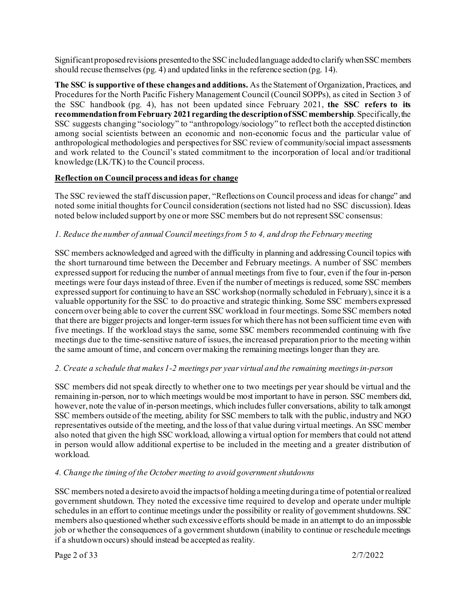Significant proposed revisions presented to the SSC included language added to clarify when SSC members should recuse themselves (pg. 4) and updated links in the reference section (pg. 14).

**The SSC is supportive of these changes and additions.** As the Statement of Organization, Practices, and Procedures for the North Pacific Fishery Management Council (Council SOPPs), as cited in Section 3 of the SSC handbook (pg. 4), has not been updated since February 2021, **the SSC refers to its recommendation from February 2021 regarding the description of SSC membership**. Specifically, the SSC suggests changing "sociology" to "anthropology/sociology" to reflect both the accepted distinction among social scientists between an economic and non-economic focus and the particular value of anthropological methodologies and perspectives for SSC review of community/social impact assessments and work related to the Council's stated commitment to the incorporation of local and/or traditional knowledge (LK/TK) to the Council process.

#### **Reflection on Council process and ideas for change**

The SSC reviewed the staff discussion paper, "Reflections on Council process and ideas for change" and noted some initial thoughts for Council consideration (sections not listed had no SSC discussion). Ideas noted below included support by one or more SSC members but do not represent SSC consensus:

## *1. Reduce the number of annual Council meetings from 5 to 4, and drop the February meeting*

SSC members acknowledged and agreed with the difficulty in planning and addressing Council topics with the short turnaround time between the December and February meetings. A number of SSC members expressed support for reducing the number of annual meetings from five to four, even if the four in-person meetings were four days instead of three. Even if the number of meetings is reduced, some SSC members expressed support for continuing to have an SSC workshop (normally scheduled in February), since it is a valuable opportunity for the SSC to do proactive and strategic thinking. Some SSC members expressed concern over being able to cover the current SSC workload in four meetings. Some SSC members noted that there are bigger projects and longer-term issues for which there has not been sufficient time even with five meetings. If the workload stays the same, some SSC members recommended continuing with five meetings due to the time-sensitive nature of issues, the increased preparation prior to the meeting within the same amount of time, and concern over making the remaining meetings longer than they are.

#### *2. Create a schedule that makes 1-2 meetings per year virtual and the remaining meetings in-person*

SSC members did not speak directly to whether one to two meetings per year should be virtual and the remaining in-person, nor to which meetings would be most important to have in person. SSC members did, however, note the value of in-person meetings, which includes fuller conversations, ability to talk amongst SSC members outside of the meeting, ability for SSC members to talk with the public, industry and NGO representatives outside of the meeting, and the loss of that value during virtual meetings. An SSC member also noted that given the high SSC workload, allowing a virtual option for members that could not attend in person would allow additional expertise to be included in the meeting and a greater distribution of workload.

## *4. Change the timing of the October meeting to avoid government shutdowns*

SSC members noted a desire to avoid the impacts of holding a meeting during a time of potential or realized government shutdown. They noted the excessive time required to develop and operate under multiple schedules in an effort to continue meetings under the possibility or reality of government shutdowns. SSC members also questioned whether such excessive efforts should be made in an attempt to do an impossible job or whether the consequences of a government shutdown (inability to continue or reschedule meetings if a shutdown occurs) should instead be accepted as reality.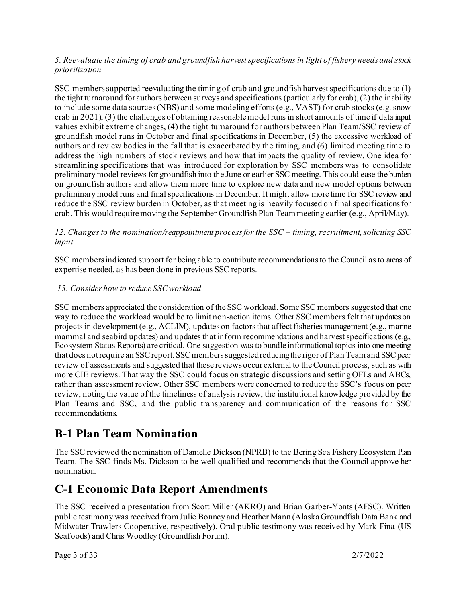#### *5. Reevaluate the timing of crab and groundfish harvest specifications in light of fishery needs and stock prioritization*

SSC members supported reevaluating the timing of crab and groundfish harvest specifications due to (1) the tight turnaround for authors between surveys and specifications (particularly for crab), (2) the inability to include some data sources (NBS) and some modeling efforts (e.g., VAST) for crab stocks (e.g. snow crab in 2021), (3) the challenges of obtaining reasonable model runs in short amounts of time if data input values exhibit extreme changes, (4) the tight turnaround for authors between Plan Team/SSC review of groundfish model runs in October and final specifications in December, (5) the excessive workload of authors and review bodies in the fall that is exacerbated by the timing, and (6) limited meeting time to address the high numbers of stock reviews and how that impacts the quality of review. One idea for streamlining specifications that was introduced for exploration by SSC members was to consolidate preliminary model reviews for groundfish into the June or earlier SSC meeting. This could ease the burden on groundfish authors and allow them more time to explore new data and new model options between preliminary model runs and final specifications in December. It might allow more time for SSC review and reduce the SSC review burden in October, as that meeting is heavily focused on final specifications for crab. This would require moving the September Groundfish Plan Team meeting earlier (e.g., April/May).

*12. Changes to the nomination/reappointment process for the SSC – timing, recruitment, soliciting SSC input*

SSC members indicated support for being able to contribute recommendations to the Council as to areas of expertise needed, as has been done in previous SSC reports.

#### *13. Consider how to reduce SSC workload*

SSC members appreciated the consideration of the SSC workload. Some SSC members suggested that one way to reduce the workload would be to limit non-action items. Other SSC members felt that updates on projects in development (e.g., ACLIM), updates on factors that affect fisheries management (e.g., marine mammal and seabird updates) and updates that inform recommendations and harvest specifications (e.g., Ecosystem Status Reports) are critical. One suggestion was to bundle informational topics into one meeting that does not require an SSC report. SSC members suggested reducing the rigor of Plan Team and SSC peer review of assessments and suggested that these reviews occur external to the Council process, such as with more CIE reviews. That way the SSC could focus on strategic discussions and setting OFLs and ABCs, rather than assessment review. Other SSC members were concerned to reduce the SSC's focus on peer review, noting the value of the timeliness of analysis review, the institutional knowledge provided by the Plan Teams and SSC, and the public transparency and communication of the reasons for SSC recommendations.

## **B-1 Plan Team Nomination**

The SSC reviewed the nomination of Danielle Dickson (NPRB) to the Bering Sea Fishery Ecosystem Plan Team. The SSC finds Ms. Dickson to be well qualified and recommends that the Council approve her nomination.

## **C-1 Economic Data Report Amendments**

The SSC received a presentation from Scott Miller (AKRO) and Brian Garber-Yonts (AFSC). Written public testimony was received from Julie Bonney and Heather Mann (Alaska Groundfish Data Bank and Midwater Trawlers Cooperative, respectively). Oral public testimony was received by Mark Fina (US Seafoods) and Chris Woodley (Groundfish Forum).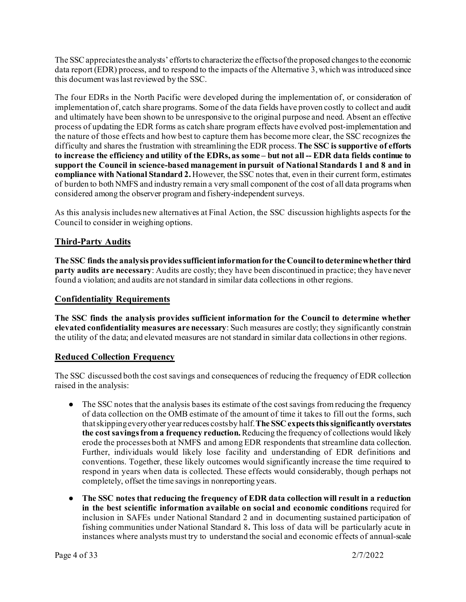The SSC appreciates the analysts' efforts to characterize the effects of the proposed changes to the economic data report (EDR) process, and to respond to the impacts of the Alternative 3, which was introduced since this document was last reviewed by the SSC.

The four EDRs in the North Pacific were developed during the implementation of, or consideration of implementation of, catch share programs. Some of the data fields have proven costly to collect and audit and ultimately have been shown to be unresponsive to the original purpose and need. Absent an effective process of updating the EDR forms as catch share program effects have evolved post-implementation and the nature of those effects and how best to capture them has become more clear, the SSC recognizes the difficulty and shares the frustration with streamlining the EDR process. **The SSC is supportive of efforts to increase the efficiency and utility of the EDRs, as some – but not all -- EDR data fields continue to support the Council in science-based management in pursuit of National Standards 1 and 8 and in compliance with National Standard 2.** However, the SSC notes that, even in their current form, estimates of burden to both NMFS and industry remain a very small component of the cost of all data programs when considered among the observer program and fishery-independent surveys.

As this analysis includes new alternatives at Final Action, the SSC discussion highlights aspects for the Council to consider in weighing options.

## **Third-Party Audits**

**The SSC finds the analysis provides sufficient information for the Council to determine whether third party audits are necessary**: Audits are costly; they have been discontinued in practice; they have never found a violation; and audits are not standard in similar data collections in other regions.

#### **Confidentiality Requirements**

**The SSC finds the analysis provides sufficient information for the Council to determine whether elevated confidentiality measures are necessary**: Such measures are costly; they significantly constrain the utility of the data; and elevated measures are not standard in similar data collections in other regions.

## **Reduced Collection Frequency**

The SSC discussed both the cost savings and consequences of reducing the frequency of EDR collection raised in the analysis:

- The SSC notes that the analysis bases its estimate of the cost savings from reducing the frequency of data collection on the OMB estimate of the amount of time it takes to fill out the forms, such that skipping every other year reduces costs by half. **The SSC expects this significantly overstates the cost savings from a frequency reduction.**Reducing the frequency of collections would likely erode the processes both at NMFS and among EDR respondents that streamline data collection. Further, individuals would likely lose facility and understanding of EDR definitions and conventions. Together, these likely outcomes would significantly increase the time required to respond in years when data is collected. These effects would considerably, though perhaps not completely, offset the time savings in nonreporting years.
- **The SSC notes that reducing the frequency of EDR data collection will result in a reduction in the best scientific information available on social and economic conditions** required for inclusion in SAFEs under National Standard 2 and in documenting sustained participation of fishing communities under National Standard 8**.** This loss of data will be particularly acute in instances where analysts must try to understand the social and economic effects of annual-scale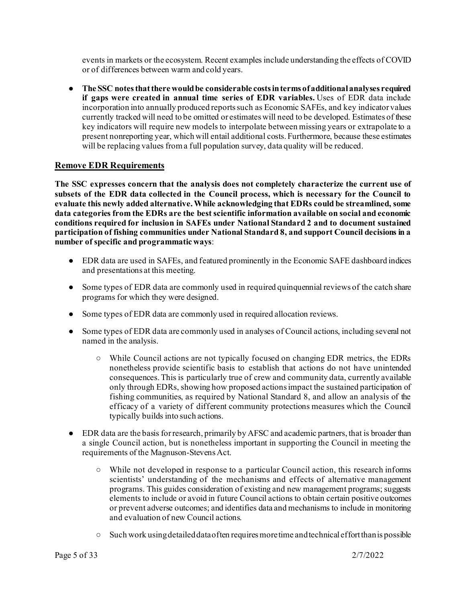events in markets or the ecosystem. Recent examples include understanding the effects of COVID or of differences between warm and cold years.

● **The SSC notes that there would be considerable costs in terms of additional analyses required if gaps were created in annual time series of EDR variables.** Uses of EDR data include incorporation into annually produced reports such as Economic SAFEs, and key indicator values currently tracked will need to be omitted or estimates will need to be developed. Estimates of these key indicators will require new models to interpolate between missing years or extrapolate to a present nonreporting year, which will entail additional costs. Furthermore, because these estimates will be replacing values from a full population survey, data quality will be reduced.

#### **Remove EDR Requirements**

**The SSC expresses concern that the analysis does not completely characterize the current use of subsets of the EDR data collected in the Council process, which is necessary for the Council to evaluate this newly added alternative.While acknowledging that EDRs could be streamlined, some data categories from the EDRs are the best scientific information available on social and economic conditions required for inclusion in SAFEs under National Standard 2 and to document sustained participation of fishing communities under National Standard 8, and support Council decisions in a number of specific and programmatic ways**:

- EDR data are used in SAFEs, and featured prominently in the Economic SAFE dashboard indices and presentations at this meeting.
- Some types of EDR data are commonly used in required quinquennial reviews of the catch share programs for which they were designed.
- Some types of EDR data are commonly used in required allocation reviews.
- Some types of EDR data are commonly used in analyses of Council actions, including several not named in the analysis.
	- While Council actions are not typically focused on changing EDR metrics, the EDRs nonetheless provide scientific basis to establish that actions do not have unintended consequences. This is particularly true of crew and community data, currently available only through EDRs, showing how proposed actions impact the sustained participation of fishing communities, as required by National Standard 8, and allow an analysis of the efficacy of a variety of different community protections measures which the Council typically builds into such actions.
- EDR data are the basis for research, primarily by AFSC and academic partners, that is broader than a single Council action, but is nonetheless important in supporting the Council in meeting the requirements of the Magnuson-Stevens Act.
	- While not developed in response to a particular Council action, this research informs scientists' understanding of the mechanisms and effects of alternative management programs. This guides consideration of existing and new management programs; suggests elements to include or avoid in future Council actions to obtain certain positive outcomes or prevent adverse outcomes; and identifies data and mechanisms to include in monitoring and evaluation of new Council actions.
	- Such work using detailed data often requires more time and technical effort than is possible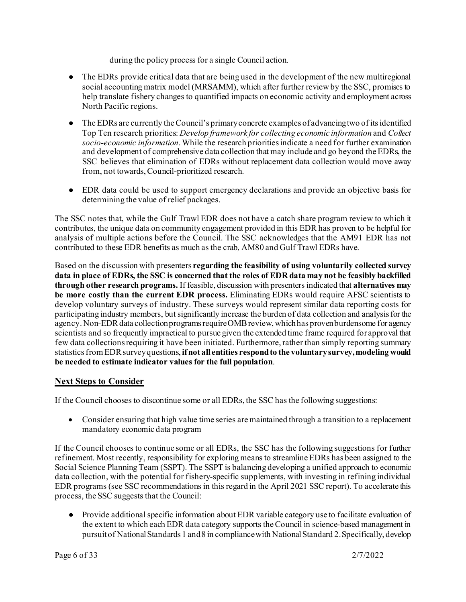during the policy process for a single Council action.

- The EDRs provide critical data that are being used in the development of the new multiregional social accounting matrix model (MRSAMM), which after further review by the SSC, promises to help translate fishery changes to quantified impacts on economic activity and employment across North Pacific regions.
- The EDRs are currently the Council's primary concrete examples of advancing two of its identified Top Ten research priorities: *Develop framework for collecting economic information* and *Collect socio-economic information*. While the research priorities indicate a need for further examination and development of comprehensive data collection that may include and go beyond the EDRs, the SSC believes that elimination of EDRs without replacement data collection would move away from, not towards, Council-prioritized research.
- EDR data could be used to support emergency declarations and provide an objective basis for determining the value of relief packages.

The SSC notes that, while the Gulf Trawl EDR does not have a catch share program review to which it contributes, the unique data on community engagement provided in this EDR has proven to be helpful for analysis of multiple actions before the Council. The SSC acknowledges that the AM91 EDR has not contributed to these EDR benefits as much as the crab, AM80 and Gulf Trawl EDRs have.

Based on the discussion with presenters **regarding the feasibility of using voluntarily collected survey data in place of EDRs, the SSC is concerned that the roles of EDR data may not be feasibly backfilled through other research programs.** If feasible, discussion with presenters indicated that **alternatives may be more costly than the current EDR process.** Eliminating EDRs would require AFSC scientists to develop voluntary surveys of industry. These surveys would represent similar data reporting costs for participating industry members, but significantly increase the burden of data collection and analysis for the agency. Non-EDR data collection programs require OMB review, which has proven burdensome for agency scientists and so frequently impractical to pursue given the extended time frame required for approval that few data collections requiring it have been initiated. Furthermore, rather than simply reporting summary statistics from EDR survey questions, **if not all entities respond to the voluntary survey, modeling would be needed to estimate indicator values for the full population**.

## **Next Steps to Consider**

If the Council chooses to discontinue some or all EDRs, the SSC has the following suggestions:

• Consider ensuring that high value time series are maintained through a transition to a replacement mandatory economic data program

If the Council chooses to continue some or all EDRs, the SSC has the following suggestions for further refinement. Most recently, responsibility for exploring means to streamline EDRs has been assigned to the Social Science Planning Team (SSPT). The SSPT is balancing developing a unified approach to economic data collection, with the potential for fishery-specific supplements, with investing in refining individual EDR programs (see SSC recommendations in this regard in the April 2021 SSC report). To accelerate this process, the SSC suggests that the Council:

● Provide additional specific information about EDR variable category use to facilitate evaluation of the extent to which each EDR data category supports the Council in science-based management in pursuit of National Standards 1 and 8 in compliance with National Standard 2. Specifically, develop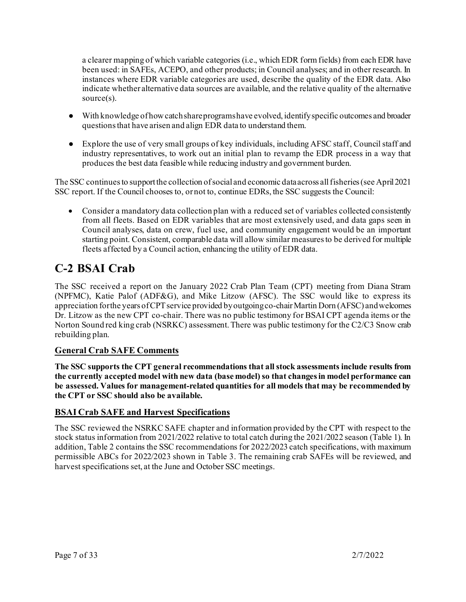a clearer mapping of which variable categories (i.e., which EDR form fields) from each EDR have been used: in SAFEs, ACEPO, and other products; in Council analyses; and in other research. In instances where EDR variable categories are used, describe the quality of the EDR data. Also indicate whether alternative data sources are available, and the relative quality of the alternative source(s).

- With knowledge of how catch share programs have evolved, identify specific outcomes and broader questions that have arisen and align EDR data to understand them.
- Explore the use of very small groups of key individuals, including AFSC staff, Council staff and industry representatives, to work out an initial plan to revamp the EDR process in a way that produces the best data feasible while reducing industry and government burden.

The SSC continues to support the collection of social and economic data across all fisheries (see April 2021 SSC report. If the Council chooses to, or not to, continue EDRs, the SSC suggests the Council:

• Consider a mandatory data collection plan with a reduced set of variables collected consistently from all fleets. Based on EDR variables that are most extensively used, and data gaps seen in Council analyses, data on crew, fuel use, and community engagement would be an important starting point. Consistent, comparable data will allow similar measures to be derived for multiple fleets affected by a Council action, enhancing the utility of EDR data.

# **C-2 BSAI Crab**

The SSC received a report on the January 2022 Crab Plan Team (CPT) meeting from Diana Stram (NPFMC), Katie Palof (ADF&G), and Mike Litzow (AFSC). The SSC would like to express its appreciation for the years of CPT service provided by outgoing co-chair Martin Dorn (AFSC) and welcomes Dr. Litzow as the new CPT co-chair. There was no public testimony for BSAI CPT agenda items or the Norton Sound red king crab (NSRKC) assessment. There was public testimony for the C2/C3 Snow crab rebuilding plan.

## **General Crab SAFE Comments**

**The SSC supports the CPT general recommendations that all stock assessments include results from the currently accepted model with new data (base model) so that changes in model performance can be assessed. Values for management-related quantities for all models that may be recommended by the CPT or SSC should also be available.** 

## **BSAI Crab SAFE and Harvest Specifications**

The SSC reviewed the NSRKC SAFE chapter and information provided by the CPT with respect to the stock status information from 2021/2022 relative to total catch during the 2021/2022 season (Table 1). In addition, Table 2 contains the SSC recommendations for 2022/2023 catch specifications, with maximum permissible ABCs for 2022/2023 shown in Table 3. The remaining crab SAFEs will be reviewed, and harvest specifications set, at the June and October SSC meetings.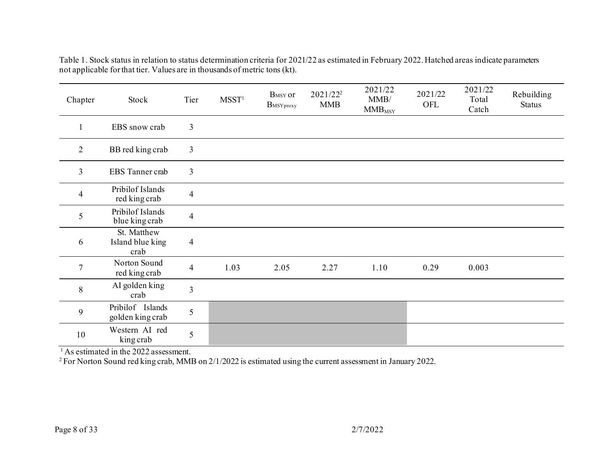Table 1. Stock status in relation to status determination criteria for 2021/22 as estimated in February 2022. Hatched areas indicate parameters not applicable for that tier. Values are in thousands of metric tons (kt).

| Chapter        | Stock                                   | Tier           | M SST <sup>1</sup> | B <sub>MSY</sub> or<br>$B$ MSY proxy | 2021/22 <sup>2</sup><br><b>MMB</b> | 2021/22<br>MMB/<br>$MMB_{\rm MSY}$ | 2021/22<br>OFL | 2021/22<br>Total<br>Catch | Rebuilding<br><b>Status</b> |
|----------------|-----------------------------------------|----------------|--------------------|--------------------------------------|------------------------------------|------------------------------------|----------------|---------------------------|-----------------------------|
| 1              | EBS snow crab                           | $\overline{3}$ |                    |                                      |                                    |                                    |                |                           |                             |
| $\overline{2}$ | BB red king crab                        | $\mathfrak{Z}$ |                    |                                      |                                    |                                    |                |                           |                             |
| $\overline{3}$ | EBS Tanner crab                         | 3              |                    |                                      |                                    |                                    |                |                           |                             |
| $\overline{4}$ | Pribilof Islands<br>red king crab       | $\overline{4}$ |                    |                                      |                                    |                                    |                |                           |                             |
| 5              | Pribilof Islands<br>blue king crab      | $\overline{4}$ |                    |                                      |                                    |                                    |                |                           |                             |
| 6              | St. Matthew<br>Island blue king<br>crab | $\overline{4}$ |                    |                                      |                                    |                                    |                |                           |                             |
| $\overline{7}$ | Norton Sound<br>red king crab           | $\overline{4}$ | 1.03               | 2.05                                 | 2.27                               | 1.10                               | 0.29           | 0.003                     |                             |
| 8              | AI golden king<br>crab                  | 3              |                    |                                      |                                    |                                    |                |                           |                             |
| 9              | Pribilof Islands<br>golden king crab    | 5              |                    |                                      |                                    |                                    |                |                           |                             |
| 10             | Western AI red<br>king crab             | 5              |                    |                                      |                                    |                                    |                |                           |                             |

 $1$ As estimated in the 2022 assessment.

<sup>2</sup> For Norton Sound red king crab, MMB on 2/1/2022 is estimated using the current assessment in January 2022.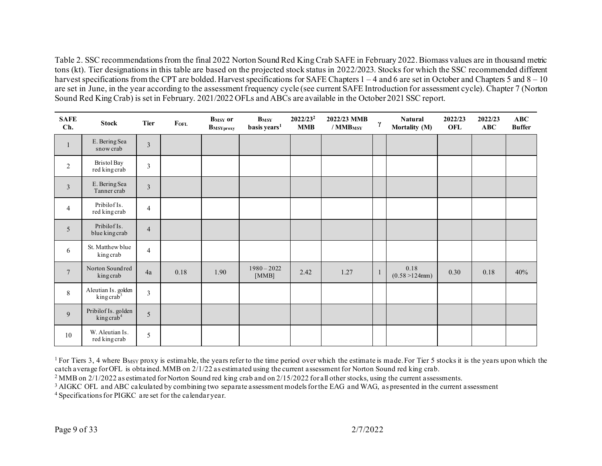Table 2. SSC recommendations from the final 2022 Norton Sound Red King Crab SAFE in February 2022. Biomass values are in thousand metric tons (kt). Tier designations in this table are based on the projected stock status in 2022/2023. Stocks for which the SSC recommended different harvest specifications from the CPT are bolded. Harvest specifications for SAFE Chapters 1 – 4 and 6 are set in October and Chapters 5 and 8 – 10 are set in June, in the year according to the assessment frequency cycle (see current SAFE Introduction for assessment cycle). Chapter 7 (Norton Sound Red King Crab) is set in February. 2021/2022 OFLs and ABCs are available in the October 2021 SSC report.

| <b>SAFE</b><br>Ch.      | <b>Stock</b>                                  | <b>Tier</b>             | <b>FOFL</b> | <b>B</b> <sub>MSY</sub> or<br>BMSYproxy | $B_{MSY}$<br>basis years <sup>1</sup> | 2022/23 <sup>2</sup><br><b>MMB</b> | 2022/23 MMB<br>$/$ MMB <sub>MSY</sub> | $\gamma$     | <b>Natural</b><br>Mortality (M) | 2022/23<br>OFL | 2022/23<br>ABC | ABC<br><b>Buffer</b> |
|-------------------------|-----------------------------------------------|-------------------------|-------------|-----------------------------------------|---------------------------------------|------------------------------------|---------------------------------------|--------------|---------------------------------|----------------|----------------|----------------------|
| $\mathbf{1}$            | E. Bering Sea<br>snow crab                    | $\overline{\mathbf{3}}$ |             |                                         |                                       |                                    |                                       |              |                                 |                |                |                      |
| $\overline{2}$          | <b>Bristol Bay</b><br>red king crab           | $\overline{3}$          |             |                                         |                                       |                                    |                                       |              |                                 |                |                |                      |
| $\overline{\mathbf{3}}$ | E. Bering Sea<br>Tanner crab                  | $\overline{3}$          |             |                                         |                                       |                                    |                                       |              |                                 |                |                |                      |
| $\overline{4}$          | Pribilof Is.<br>red king crab                 | $\overline{4}$          |             |                                         |                                       |                                    |                                       |              |                                 |                |                |                      |
| 5                       | Pribilof Is.<br>blue king crab                | $\overline{4}$          |             |                                         |                                       |                                    |                                       |              |                                 |                |                |                      |
| 6                       | St. Matthew blue<br>kingcrab                  | $\overline{4}$          |             |                                         |                                       |                                    |                                       |              |                                 |                |                |                      |
| $\overline{7}$          | Norton Sound red<br>king crab                 | 4a                      | 0.18        | 1.90                                    | $1980 - 2022$<br>[MMB]                | 2.42                               | 1.27                                  | $\mathbf{1}$ | 0.18<br>$(0.58 > 124$ mm)       | 0.30           | 0.18           | 40%                  |
| 8                       | Aleutian Is. golden<br>king $crab^3$          | $\mathfrak{Z}$          |             |                                         |                                       |                                    |                                       |              |                                 |                |                |                      |
| 9                       | Pribilof Is. golden<br>king crab <sup>4</sup> | 5                       |             |                                         |                                       |                                    |                                       |              |                                 |                |                |                      |
| $10\,$                  | W. Aleutian Is.<br>red king crab              | 5                       |             |                                         |                                       |                                    |                                       |              |                                 |                |                |                      |

<sup>1</sup> For Tiers 3, 4 where  $B_{MSY}$  proxy is estimable, the years refer to the time period over which the estimate is made. For Tier 5 stocks it is the years upon which the catch average for OFL is obtained. MMB on 2/1/22 as estimated using the current assessment for Norton Sound red king crab.

<sup>2</sup> MMB on 2/1/2022 as estimated for Norton Sound red king crab and on 2/15/2022 for all other stocks, using the current assessments.

<sup>3</sup> AIGKC OFL and ABC calculated by combining two separate assessment models for the EAG and WAG, as presented in the current assessment

4 Specifications for PIGKC are set for the calendar year.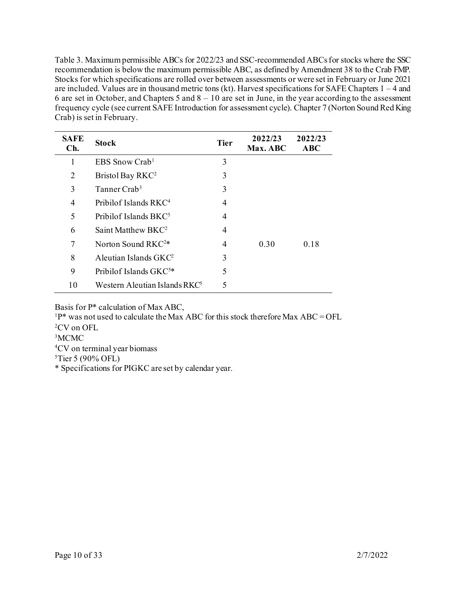Table 3. Maximum permissible ABCs for 2022/23 and SSC-recommended ABCs for stocks where the SSC recommendation is below the maximum permissible ABC, as defined by Amendment 38 to the Crab FMP. Stocks for which specifications are rolled over between assessments or were set in February or June 2021 are included. Values are in thousand metric tons (kt). Harvest specifications for SAFE Chapters 1 – 4 and 6 are set in October, and Chapters 5 and  $8 - 10$  are set in June, in the year according to the assessment frequency cycle (see current SAFE Introduction for assessment cycle). Chapter 7 (Norton Sound Red King Crab) is set in February.

| <b>SAFE</b><br>Ch. | <b>Stock</b>                       | <b>Tier</b> | 2022/23<br>Max. ABC | 2022/23<br><b>ABC</b> |
|--------------------|------------------------------------|-------------|---------------------|-----------------------|
| 1                  | EBS Snow Crab <sup>1</sup>         | 3           |                     |                       |
| 2                  | Bristol Bay RKC <sup>2</sup>       | 3           |                     |                       |
| 3                  | Tanner Crab <sup>3</sup>           | 3           |                     |                       |
| 4                  | Pribilof Islands RKC <sup>4</sup>  | 4           |                     |                       |
| 5                  | Pribilof Islands BKC <sup>5</sup>  | 4           |                     |                       |
| 6                  | Saint Matthew BKC <sup>2</sup>     | 4           |                     |                       |
| 7                  | Norton Sound RKC <sup>2*</sup>     | 4           | 0.30                | 0.18                  |
| 8                  | Aleutian Islands $GKC2$            | 3           |                     |                       |
| 9                  | Pribilof Islands GKC <sup>5*</sup> | 5           |                     |                       |
| 10                 | Western Aleutian Islands RK $C^5$  | 5           |                     |                       |

Basis for P\* calculation of Max ABC,

 $1P^*$  was not used to calculate the Max ABC for this stock therefore Max ABC = OFL

2CV on OFL

<sup>3</sup>MCMC

4CV on terminal year biomass

 $5$ Tier 5 (90% OFL)

\* Specifications for PIGKC are set by calendar year.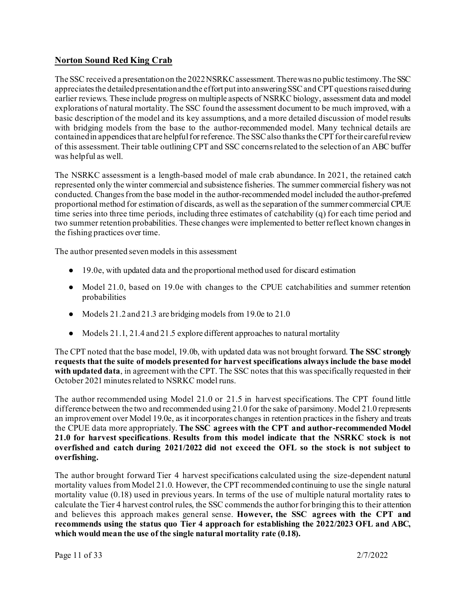## **Norton Sound Red King Crab**

The SSC received a presentation on the 2022 NSRKC assessment. There was no public testimony. The SSC appreciates the detailed presentation and the effort put into answering SSC and CPT questions raised during earlier reviews. These include progress on multiple aspects of NSRKC biology, assessment data and model explorations of natural mortality. The SSC found the assessment document to be much improved, with a basic description of the model and its key assumptions, and a more detailed discussion of model results with bridging models from the base to the author-recommended model. Many technical details are contained in appendices that are helpful for reference. The SSC also thanks the CPT for their careful review of this assessment. Their table outlining CPT and SSC concerns related to the selection of an ABC buffer was helpful as well.

The NSRKC assessment is a length-based model of male crab abundance. In 2021, the retained catch represented only the winter commercial and subsistence fisheries. The summer commercial fishery was not conducted. Changes from the base model in the author-recommended model included the author-preferred proportional method for estimation of discards, as well as the separation of the summer commercial CPUE time series into three time periods, including three estimates of catchability (q) for each time period and two summer retention probabilities. These changes were implemented to better reflect known changes in the fishing practices over time.

The author presented seven models in this assessment

- 19.0e, with updated data and the proportional method used for discard estimation
- Model 21.0, based on 19.0e with changes to the CPUE catchabilities and summer retention probabilities
- Models 21.2 and 21.3 are bridging models from 19.0e to 21.0
- Models 21.1, 21.4 and 21.5 explore different approaches to natural mortality

The CPT noted that the base model, 19.0b, with updated data was not brought forward. **The SSC strongly requests that the suite of models presented for harvest specifications always include the base model with updated data**, in agreement with the CPT. The SSC notes that this was specifically requested in their October 2021 minutes related to NSRKC model runs.

The author recommended using Model 21.0 or 21.5 in harvest specifications. The CPT found little difference between the two and recommended using 21.0 for the sake of parsimony. Model 21.0 represents an improvement over Model 19.0e, as it incorporates changes in retention practices in the fishery and treats the CPUE data more appropriately. **The SSC agrees with the CPT and author-recommended Model 21.0 for harvest specifications**. **Results from this model indicate that the NSRKC stock is not overfished and catch during 2021/2022 did not exceed the OFL so the stock is not subject to overfishing.**

The author brought forward Tier 4 harvest specifications calculated using the size-dependent natural mortality values from Model 21.0. However, the CPT recommended continuing to use the single natural mortality value (0.18) used in previous years. In terms of the use of multiple natural mortality rates to calculate the Tier 4 harvest control rules, the SSC commends the author for bringing this to their attention and believes this approach makes general sense. **However, the SSC agrees with the CPT and recommends using the status quo Tier 4 approach for establishing the 2022/2023 OFL and ABC, which would mean the use of the single natural mortality rate (0.18).**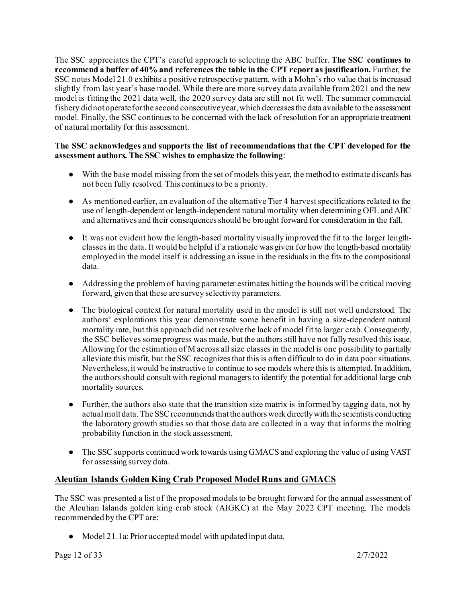The SSC appreciates the CPT's careful approach to selecting the ABC buffer. **The SSC continues to recommend a buffer of 40% and references the table in the CPT report as justification.** Further, the SSC notes Model 21.0 exhibits a positive retrospective pattern, with a Mohn's rho value that is increased slightly from last year's base model. While there are more survey data available from 2021 and the new model is fitting the 2021 data well, the 2020 survey data are still not fit well. The summer commercial fishery did not operate for the second consecutive year, which decreases the data available to the assessment model. Finally, the SSC continues to be concerned with the lack of resolution for an appropriate treatment of natural mortality for this assessment.

#### **The SSC acknowledges and supports the list of recommendations that the CPT developed for the assessment authors. The SSC wishes to emphasize the following**:

- With the base model missing from the set of models this year, the method to estimate discards has not been fully resolved. This continues to be a priority.
- As mentioned earlier, an evaluation of the alternative Tier 4 harvest specifications related to the use of length-dependent or length-independent natural mortality when determining OFL and ABC and alternatives and their consequences should be brought forward for consideration in the fall.
- It was not evident how the length-based mortality visually improved the fit to the larger lengthclasses in the data. It would be helpful if a rationale was given for how the length-based mortality employed in the model itself is addressing an issue in the residuals in the fits to the compositional data.
- Addressing the problem of having parameter estimates hitting the bounds will be critical moving forward, given that these are survey selectivity parameters.
- The biological context for natural mortality used in the model is still not well understood. The authors' explorations this year demonstrate some benefit in having a size-dependent natural mortality rate, but this approach did not resolve the lack of model fit to larger crab. Consequently, the SSC believes some progress was made, but the authors still have not fully resolved this issue. Allowing for the estimation of M across all size classes in the model is one possibility to partially alleviate this misfit, but the SSC recognizes that this is often difficult to do in data poor situations. Nevertheless, it would be instructive to continue to see models where this is attempted. In addition, the authors should consult with regional managers to identify the potential for additional large crab mortality sources.
- Further, the authors also state that the transition size matrix is informed by tagging data, not by actual molt data. The SSC recommends thatthe authors work directly with the scientists conducting the laboratory growth studies so that those data are collected in a way that informs the molting probability function in the stock assessment.
- The SSC supports continued work towards using GMACS and exploring the value of using VAST for assessing survey data.

## **Aleutian Islands Golden King Crab Proposed Model Runs and GMACS**

The SSC was presented a list of the proposed models to be brought forward for the annual assessment of the Aleutian Islands golden king crab stock (AIGKC) at the May 2022 CPT meeting. The models recommended by the CPT are:

● Model 21.1a: Prior accepted model with updated input data.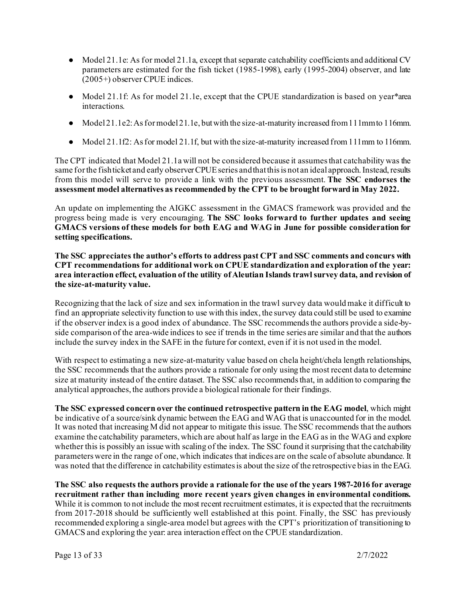- $\bullet$  Model 21.1e: As for model 21.1a, except that separate catchability coefficients and additional CV parameters are estimated for the fish ticket (1985-1998), early (1995-2004) observer, and late (2005+) observer CPUE indices.
- Model 21.1f: As for model 21.1e, except that the CPUE standardization is based on year\*area interactions.
- $\bullet$  Model 21.1e2: As for model 21.1e, but with the size-at-maturity increased from 111 mm to 116mm.
- Model 21.1f2: As for model 21.1f, but with the size-at-maturity increased from 111mm to 116mm.

The CPT indicated that Model 21.1a will not be considered because it assumes that catchability was the same for the fish ticket and early observer CPUE series and that this is not an ideal approach. Instead, results from this model will serve to provide a link with the previous assessment. **The SSC endorses the assessment model alternatives as recommended by the CPT to be brought forward in May 2022.**

An update on implementing the AIGKC assessment in the GMACS framework was provided and the progress being made is very encouraging. **The SSC looks forward to further updates and seeing GMACS versions of these models for both EAG and WAG in June for possible consideration for setting specifications.**

**The SSC appreciates the author's efforts to address past CPT and SSC comments and concurs with CPT recommendations for additional work on CPUE standardization and exploration of the year: area interaction effect, evaluation of the utility of Aleutian Islands trawl survey data, and revision of the size-at-maturity value.**

Recognizing that the lack of size and sex information in the trawl survey data would make it difficult to find an appropriate selectivity function to use with this index, the survey data could still be used to examine if the observer index is a good index of abundance. The SSC recommendsthe authors provide a side-byside comparison of the area-wide indices to see if trends in the time series are similar and that the authors include the survey index in the SAFE in the future for context, even if it is not used in the model.

With respect to estimating a new size-at-maturity value based on chela height/chela length relationships, the SSC recommends that the authors provide a rationale for only using the most recent data to determine size at maturity instead of the entire dataset. The SSC also recommends that, in addition to comparing the analytical approaches, the authors provide a biological rationale for their findings.

**The SSC expressed concern over the continued retrospective pattern in the EAG model**, which might be indicative of a source/sink dynamic between the EAG and WAG that is unaccounted for in the model. It was noted that increasing M did not appear to mitigate this issue. The SSC recommends that the authors examine the catchability parameters, which are about half as large in the EAG as in the WAG and explore whether this is possibly an issue with scaling of the index. The SSC found it surprising that the catchability parameters were in the range of one, which indicates that indices are on the scale of absolute abundance. It was noted that the difference in catchability estimates is about the size of the retrospective bias in the EAG.

**The SSC also requests the authors provide a rationale for the use of the years 1987-2016 for average recruitment rather than including more recent years given changes in environmental conditions.** While it is common to not include the most recent recruitment estimates, it is expected that the recruitments from 2017-2018 should be sufficiently well established at this point. Finally, the SSC has previously recommended exploring a single-area model but agrees with the CPT's prioritization of transitioning to GMACS and exploring the year: area interaction effect on the CPUE standardization.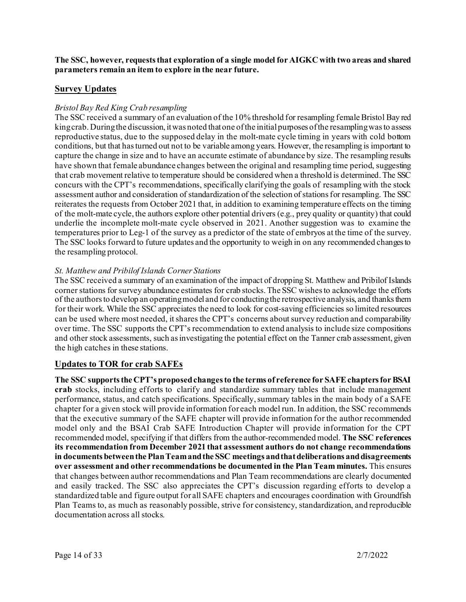**The SSC, however, requests that exploration of a single model for AIGKC with two areas and shared parameters remain an item to explore in the near future.**

#### **Survey Updates**

#### *Bristol Bay Red King Crab resampling*

The SSC received a summary of an evaluation of the 10% threshold for resampling female Bristol Bay red king crab. During the discussion, it was noted that one of the initial purposes of the resampling was to assess reproductive status, due to the supposed delay in the molt-mate cycle timing in years with cold bottom conditions, but that has turned out not to be variable among years. However, the resampling is important to capture the change in size and to have an accurate estimate of abundance by size. The resampling results have shown that female abundance changes between the original and resampling time period, suggesting that crab movement relative to temperature should be considered when a threshold is determined. The SSC concurs with the CPT's recommendations, specifically clarifying the goals of resampling with the stock assessment author and consideration of standardization of the selection of stations for resampling. The SSC reiterates the requests from October 2021 that, in addition to examining temperature effects on the timing of the molt-mate cycle, the authors explore other potential drivers (e.g., prey quality or quantity) that could underlie the incomplete molt-mate cycle observed in 2021. Another suggestion was to examine the temperatures prior to Leg-1 of the survey as a predictor of the state of embryos at the time of the survey. The SSC looks forward to future updates and the opportunity to weigh in on any recommended changes to the resampling protocol.

#### *St. Matthew and Pribilof Islands Corner Stations*

The SSC received a summary of an examination of the impact of dropping St. Matthew and Pribilof Islands corner stations for survey abundance estimates for crab stocks. The SSC wishes to acknowledge the efforts of the authors to develop an operating model and for conducting the retrospective analysis, and thanks them for their work. While the SSC appreciates the need to look for cost-saving efficiencies so limited resources can be used where most needed, it shares the CPT's concerns about survey reduction and comparability over time. The SSC supports the CPT's recommendation to extend analysis to include size compositions and other stock assessments, such as investigating the potential effect on the Tanner crab assessment, given the high catches in these stations.

#### **Updates to TOR for crab SAFEs**

**The SSC supports the CPT's proposed changes to the terms of reference for SAFE chapters for BSAI crab** stocks, including efforts to clarify and standardize summary tables that include management performance, status, and catch specifications. Specifically, summary tables in the main body of a SAFE chapter for a given stock will provide information for each model run. In addition, the SSC recommends that the executive summary of the SAFE chapter will provide information for the author recommended model only and the BSAI Crab SAFE Introduction Chapter will provide information for the CPT recommended model, specifying if that differs from the author-recommended model. **The SSC references its recommendation from December 2021 that assessment authors do not change recommendations in documents between the Plan Team and the SSC meetings and that deliberations and disagreements over assessment and other recommendations be documented in the Plan Team minutes.** This ensures that changes between author recommendations and Plan Team recommendations are clearly documented and easily tracked. The SSC also appreciates the CPT's discussion regarding efforts to develop a standardized table and figure output for all SAFE chapters and encourages coordination with Groundfish Plan Teams to, as much as reasonably possible, strive for consistency, standardization, and reproducible documentation across all stocks.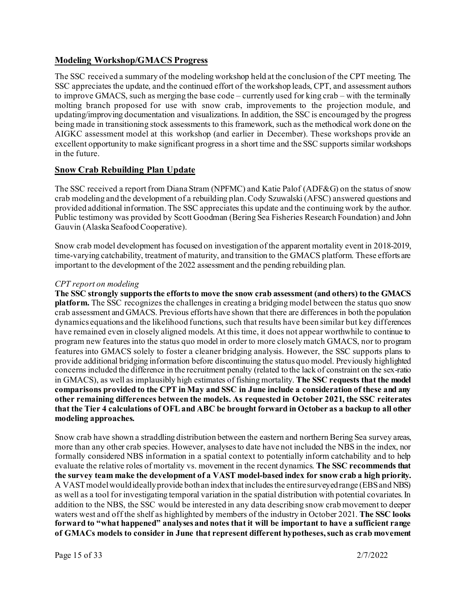#### **Modeling Workshop/GMACS Progress**

The SSC received a summary of the modeling workshop held at the conclusion of the CPT meeting. The SSC appreciates the update, and the continued effort of the workshop leads, CPT, and assessment authors to improve GMACS, such as merging the base code – currently used for king crab – with the terminally molting branch proposed for use with snow crab, improvements to the projection module, and updating/improving documentation and visualizations. In addition, the SSC is encouraged by the progress being made in transitioning stock assessments to this framework, such as the methodical work done on the AIGKC assessment model at this workshop (and earlier in December). These workshops provide an excellent opportunity to make significant progress in a short time and the SSC supports similar workshops in the future.

#### **Snow Crab Rebuilding Plan Update**

The SSC received a report from Diana Stram (NPFMC) and Katie Palof (ADF&G) on the status of snow crab modeling and the development of a rebuilding plan. Cody Szuwalski (AFSC) answered questions and provided additional information. The SSC appreciates this update and the continuing work by the author. Public testimony was provided by Scott Goodman (Bering Sea Fisheries Research Foundation) and John Gauvin (Alaska Seafood Cooperative).

Snow crab model development has focused on investigation of the apparent mortality event in 2018-2019, time-varying catchability, treatment of maturity, and transition to the GMACS platform. These efforts are important to the development of the 2022 assessment and the pending rebuilding plan.

#### *CPT report on modeling*

**The SSC strongly supports the efforts to move the snow crab assessment (and others) to the GMACS platform.** The SSC recognizes the challenges in creating a bridging model between the status quo snow crab assessment and GMACS. Previous efforts have shown that there are differences in both the population dynamics equations and the likelihood functions, such that results have been similar but key differences have remained even in closely aligned models. At this time, it does not appear worthwhile to continue to program new features into the status quo model in order to more closely match GMACS, nor to program features into GMACS solely to foster a cleaner bridging analysis. However, the SSC supports plans to provide additional bridging information before discontinuing the status quo model. Previously highlighted concerns included the difference in the recruitment penalty (related to the lack of constraint on the sex-ratio in GMACS), as well as implausibly high estimates of fishing mortality. **The SSC requests that the model comparisons provided to the CPT in May and SSC in June include a consideration of these and any other remaining differences between the models. As requested in October 2021, the SSC reiterates that the Tier 4 calculations of OFL and ABC be brought forward in October as a backup to all other modeling approaches.**

Snow crab have shown a straddling distribution between the eastern and northern Bering Sea survey areas, more than any other crab species. However, analyses to date have not included the NBS in the index, nor formally considered NBS information in a spatial context to potentially inform catchability and to help evaluate the relative roles of mortality vs. movement in the recent dynamics. **The SSC recommends that the survey team make the development of a VAST model-based index for snow crab a high priority.**  A VAST model would ideally provide both an index that includes the entire surveyed range (EBS and NBS) as well as a tool for investigating temporal variation in the spatial distribution with potential covariates. In addition to the NBS, the SSC would be interested in any data describing snow crab movement to deeper waters west and off the shelf as highlighted by members of the industry in October 2021. **The SSC looks forward to "what happened" analyses and notes that it will be important to have a sufficient range of GMACs models to consider in June that represent different hypotheses, such as crab movement**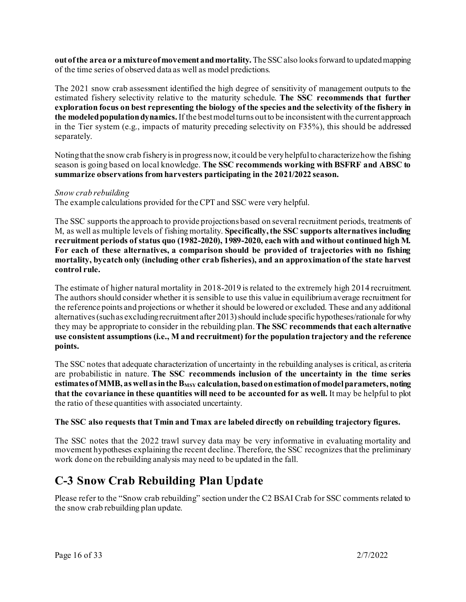**out of the area or a mixture of movement and mortality.** The SSC also looks forward to updated mapping of the time series of observed data as well as model predictions.

The 2021 snow crab assessment identified the high degree of sensitivity of management outputs to the estimated fishery selectivity relative to the maturity schedule. **The SSC recommends that further exploration focus on best representing the biology of the species and the selectivity of the fishery in the modeled population dynamics.** If the best model turns out to be inconsistent with the current approach in the Tier system (e.g., impacts of maturity preceding selectivity on F35%), this should be addressed separately.

Noting that the snow crab fishery is in progress now, it could be very helpful to characterize how the fishing season is going based on local knowledge. **The SSC recommends working with BSFRF and ABSC to summarize observations from harvesters participating in the 2021/2022 season.**

#### *Snow crab rebuilding*

The example calculations provided for the CPT and SSC were very helpful.

The SSC supports the approach to provide projections based on several recruitment periods, treatments of M, as well as multiple levels of fishing mortality. **Specifically, the SSC supports alternatives including recruitment periods of status quo (1982-2020), 1989-2020, each with and without continued high M. For each of these alternatives, a comparison should be provided of trajectories with no fishing mortality, bycatch only (including other crab fisheries), and an approximation of the state harvest control rule.**

The estimate of higher natural mortality in 2018-2019 is related to the extremely high 2014 recruitment. The authors should consider whether it is sensible to use this value in equilibrium average recruitment for the reference points and projections or whether it should be lowered or excluded. These and any additional alternatives (such as excluding recruitment after 2013) should include specific hypotheses/rationale for why they may be appropriate to consider in the rebuilding plan. **The SSC recommends that each alternative use consistent assumptions (i.e., M and recruitment) for the population trajectory and the reference points.**

The SSC notes that adequate characterization of uncertainty in the rebuilding analyses is critical, as criteria are probabilistic in nature. **The SSC recommends inclusion of the uncertainty in the time series estimates of MMB, as well as in the B<sub>MSY</sub> calculation, based on estimation of model parameters, noting that the covariance in these quantities will need to be accounted for as well.** It may be helpful to plot the ratio of these quantities with associated uncertainty.

#### **The SSC also requests that Tmin and Tmax are labeled directly on rebuilding trajectory figures.**

The SSC notes that the 2022 trawl survey data may be very informative in evaluating mortality and movement hypotheses explaining the recent decline. Therefore, the SSC recognizes that the preliminary work done on the rebuilding analysis may need to be updated in the fall.

## **C-3 Snow Crab Rebuilding Plan Update**

Please refer to the "Snow crab rebuilding" section under the C2 BSAI Crab for SSC comments related to the snow crab rebuilding plan update.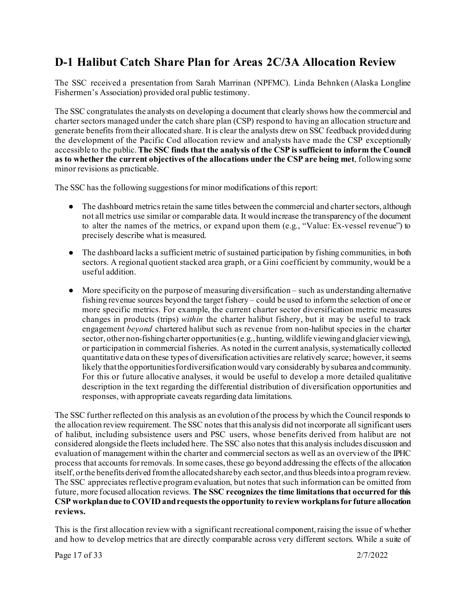## **D-1 Halibut Catch Share Plan for Areas 2C/3A Allocation Review**

The SSC received a presentation from Sarah Marrinan (NPFMC). Linda Behnken (Alaska Longline Fishermen's Association) provided oral public testimony.

The SSC congratulates the analysts on developing a document that clearly shows how the commercial and charter sectors managed under the catch share plan (CSP) respond to having an allocation structure and generate benefits from their allocated share. It is clear the analysts drew on SSC feedback provided during the development of the Pacific Cod allocation review and analysts have made the CSP exceptionally accessible to the public. **The SSC finds that the analysis of the CSP is sufficient to inform the Council as to whether the current objectives of the allocations under the CSP are being met**, following some minor revisions as practicable.

The SSC has the following suggestions for minor modifications of this report:

- The dashboard metrics retain the same titles between the commercial and charter sectors, although not all metrics use similar or comparable data. It would increase the transparency of the document to alter the names of the metrics, or expand upon them (e.g., "Value: Ex-vessel revenue") to precisely describe what is measured.
- The dashboard lacks a sufficient metric of sustained participation by fishing communities, in both sectors. A regional quotient stacked area graph, or a Gini coefficient by community, would be a useful addition.
- More specificity on the purpose of measuring diversification such as understanding alternative fishing revenue sources beyond the target fishery – could be used to inform the selection of one or more specific metrics. For example, the current charter sector diversification metric measures changes in products (trips) *within* the charter halibut fishery, but it may be useful to track engagement *beyond* chartered halibut such as revenue from non-halibut species in the charter sector, other non-fishing charter opportunities (e.g., hunting, wildlife viewing and glacier viewing), or participation in commercial fisheries. As noted in the current analysis, systematically collected quantitative data on these types of diversification activities are relatively scarce; however, it seems likely that the opportunities for diversification would vary considerably by subarea and community. For this or future allocative analyses, it would be useful to develop a more detailed qualitative description in the text regarding the differential distribution of diversification opportunities and responses, with appropriate caveats regarding data limitations.

The SSC further reflected on this analysis as an evolution of the process by which the Council responds to the allocation review requirement. The SSC notes that this analysis did not incorporate all significant users of halibut, including subsistence users and PSC users, whose benefits derived from halibut are not considered alongside the fleets included here. The SSC also notes that this analysis includes discussion and evaluation of management within the charter and commercial sectors as well as an overview of the IPHC process that accounts for removals. In some cases, these go beyond addressing the effects of the allocation itself, or the benefits derived from the allocated share by each sector, and thus bleeds into a program review. The SSC appreciates reflective program evaluation, but notes that such information can be omitted from future, more focused allocation reviews. **The SSC recognizes the time limitations that occurred for this CSP workplan due to COVID and requests the opportunity to review workplans for future allocation reviews.**

This is the first allocation review with a significant recreational component, raising the issue of whether and how to develop metrics that are directly comparable across very different sectors. While a suite of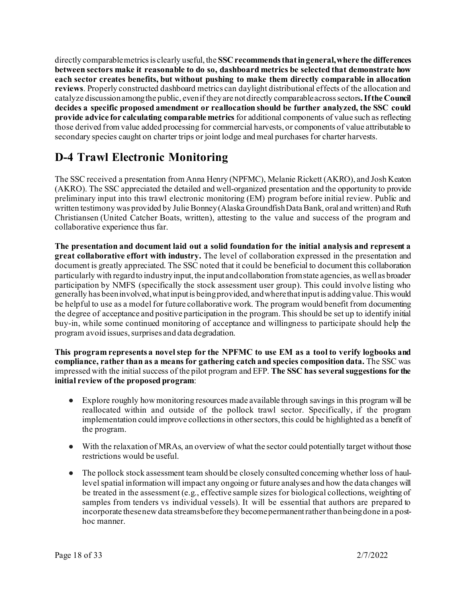directly comparable metrics is clearly useful, the **SSC recommends that in general, where the differences between sectors make it reasonable to do so, dashboard metrics be selected that demonstrate how each sector creates benefits, but without pushing to make them directly comparable in allocation reviews**. Properly constructed dashboard metrics can daylight distributional effects of the allocation and catalyze discussion among the public, even if they are not directly comparable across sectors**. If the Council decides a specific proposed amendment or reallocation should be further analyzed, the SSC could provide advice for calculating comparable metrics** for additional components of value such as reflecting those derived from value added processing for commercial harvests, or components of value attributable to secondary species caught on charter trips or joint lodge and meal purchases for charter harvests.

# **D-4 Trawl Electronic Monitoring**

The SSC received a presentation from Anna Henry (NPFMC), Melanie Rickett (AKRO), and Josh Keaton (AKRO). The SSC appreciated the detailed and well-organized presentation and the opportunity to provide preliminary input into this trawl electronic monitoring (EM) program before initial review. Public and written testimony was provided by Julie Bonney (Alaska Groundfish Data Bank, oral and written) and Ruth Christiansen (United Catcher Boats, written), attesting to the value and success of the program and collaborative experience thus far.

**The presentation and document laid out a solid foundation for the initial analysis and represent a great collaborative effort with industry.** The level of collaboration expressed in the presentation and document is greatly appreciated. The SSC noted that it could be beneficial to document this collaboration particularly with regard to industry input, the input and collaboration from state agencies, as well as broader participation by NMFS (specifically the stock assessment user group). This could involve listing who generally has been involved, what input is being provided, and where that input is adding value. This would be helpful to use as a model for future collaborative work. The program would benefit from documenting the degree of acceptance and positive participation in the program. This should be set up to identify initial buy-in, while some continued monitoring of acceptance and willingness to participate should help the program avoid issues, surprises and data degradation.

**This program represents a novel step for the NPFMC to use EM as a tool to verify logbooks and compliance, rather than as a means for gathering catch and species composition data.** The SSC was impressed with the initial success of the pilot program and EFP. **The SSC has several suggestions for the initial review of the proposed program**:

- Explore roughly how monitoring resources made available through savings in this program will be reallocated within and outside of the pollock trawl sector. Specifically, if the program implementation could improve collections in other sectors, this could be highlighted as a benefit of the program.
- With the relaxation of MRAs, an overview of what the sector could potentially target without those restrictions would be useful.
- The pollock stock assessment team should be closely consulted concerning whether loss of haullevel spatial information will impact any ongoing or future analyses and how the data changes will be treated in the assessment (e.g., effective sample sizes for biological collections, weighting of samples from tenders vs individual vessels). It will be essential that authors are prepared to incorporate these new data streams before they become permanent rather than being done in a posthoc manner.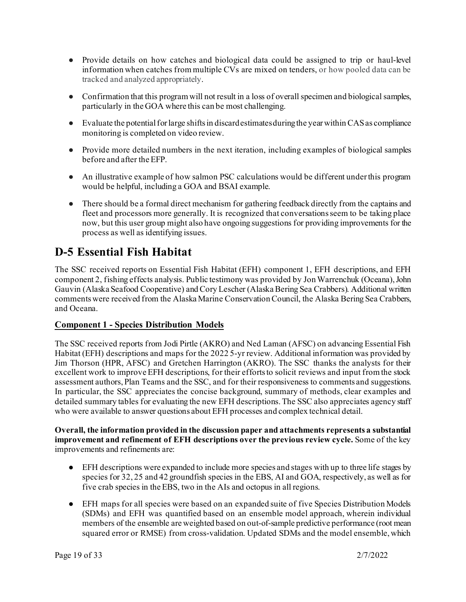- Provide details on how catches and biological data could be assigned to trip or haul-level information when catches from multiple CVs are mixed on tenders, or how pooled data can be tracked and analyzed appropriately.
- Confirmation that this program will not result in a loss of overall specimen and biological samples, particularly in the GOA where this can be most challenging.
- Evaluate the potential for large shifts in discard estimates during the year within CAS as compliance monitoring is completed on video review.
- Provide more detailed numbers in the next iteration, including examples of biological samples before and after the EFP.
- An illustrative example of how salmon PSC calculations would be different under this program would be helpful, including a GOA and BSAI example.
- There should be a formal direct mechanism for gathering feedback directly from the captains and fleet and processors more generally. It is recognized that conversations seem to be taking place now, but this user group might also have ongoing suggestions for providing improvements for the process as well as identifying issues.

## **D-5 Essential Fish Habitat**

The SSC received reports on Essential Fish Habitat (EFH) component 1, EFH descriptions, and EFH component 2, fishing effects analysis. Public testimony was provided by Jon Warrenchuk (Oceana), John Gauvin (Alaska Seafood Cooperative) and Cory Lescher (Alaska Bering Sea Crabbers). Additional written comments were received from the Alaska Marine Conservation Council, the Alaska Bering Sea Crabbers, and Oceana.

## **Component 1 - Species Distribution Models**

The SSC received reports from Jodi Pirtle (AKRO) and Ned Laman (AFSC) on advancing Essential Fish Habitat (EFH) descriptions and maps for the 2022 5-yr review. Additional information was provided by Jim Thorson (HPR, AFSC) and Gretchen Harrington (AKRO). The SSC thanks the analysts for their excellent work to improve EFH descriptions, for their efforts to solicit reviews and input from the stock assessment authors, Plan Teams and the SSC, and for their responsiveness to comments and suggestions. In particular, the SSC appreciates the concise background, summary of methods, clear examples and detailed summary tables for evaluating the new EFH descriptions. The SSC also appreciates agency staff who were available to answer questions about EFH processes and complex technical detail.

#### **Overall, the information provided in the discussion paper and attachments represents a substantial improvement and refinement of EFH descriptions over the previous review cycle.** Some of the key improvements and refinements are:

- EFH descriptions were expanded to include more species and stages with up to three life stages by species for 32, 25 and 42 groundfish species in the EBS, AI and GOA, respectively, as well as for five crab species in the EBS, two in the AIs and octopus in all regions.
- EFH maps for all species were based on an expanded suite of five Species Distribution Models (SDMs) and EFH was quantified based on an ensemble model approach, wherein individual members of the ensemble are weighted based on out-of-sample predictive performance (root mean squared error or RMSE) from cross-validation. Updated SDMs and the model ensemble, which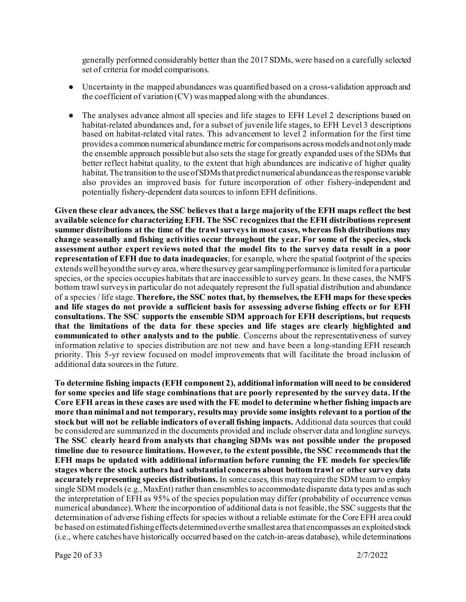generally performed considerably better than the 2017 SDMs, were based on a carefully selected set of criteria for model comparisons.

- Uncertainty in the mapped abundances was quantified based on a cross-validation approach and the coefficient of variation (CV) was mapped along with the abundances.
- The analyses advance almost all species and life stages to EFH Level 2 descriptions based on habitat-related abundances and, for a subset of juvenile life stages, to EFH Level 3 descriptions based on habitat-related vital rates. This advancement to level 2 information for the first time provides a common numerical abundance metric for comparisons across models and not only made the ensemble approach possible but also sets the stage for greatly expanded uses of the SDMs that better reflect habitat quality, to the extent that high abundances are indicative of higher quality habitat. The transition to the use of SDMs that predict numerical abundance as the response variable also provides an improved basis for future incorporation of other fishery-independent and potentially fishery-dependent data sources to inform EFH definitions.

**Given these clear advances, the SSC believes that a large majority of the EFH maps reflect the best available science for characterizing EFH. The SSC recognizes that the EFH distributions represent summer distributions at the time of the trawl surveys in most cases, whereas fish distributions may change seasonally and fishing activities occur throughout the year. For some of the species, stock assessment author expert reviews noted that the model fits to the survey data result in a poor representation of EFH due to data inadequacies**; for example, where the spatial footprint of the species extends well beyond the survey area, where the survey gear sampling performance is limited for a particular species, or the species occupies habitats that are inaccessible to survey gears. In these cases, the NMFS bottom trawl surveys in particular do not adequately represent the full spatial distribution and abundance of a species / life stage. **Therefore, the SSC notes that, by themselves, the EFH maps for these species and life stages do not provide a sufficient basis for assessing adverse fishing effects or for EFH consultations. The SSC supports the ensemble SDM approach for EFH descriptions, but requests that the limitations of the data for these species and life stages are clearly highlighted and communicated to other analysts and to the public**. Concerns about the representativeness of survey information relative to species distribution are not new and have been a long-standing EFH research priority. This 5-yr review focused on model improvements that will facilitate the broad inclusion of additional data sources in the future.

**To determine fishing impacts (EFH component 2), additional information will need to be considered for some species and life stage combinations that are poorly represented by the survey data. If the Core EFH areas in these cases are used with the FE model to determine whether fishing impacts are more than minimal and not temporary, results may provide some insights relevant to a portion of the stock but will not be reliable indicators of overall fishing impacts.** Additional data sources that could be considered are summarized in the documents provided and include observer data and longline surveys. **The SSC clearly heard from analysts that changing SDMs was not possible under the proposed timeline due to resource limitations. However, to the extent possible, the SSC recommends that the EFH maps be updated with additional information before running the FE models for species/life stages where the stock authors had substantial concerns about bottom trawl or other survey data accurately representing species distributions.** In some cases, this may require the SDM team to employ single SDM models (e.g., MaxEnt) rather than ensembles to accommodate disparate data types and as such the interpretation of EFH as 95% of the species population may differ (probability of occurrence versus numerical abundance). Where the incorporation of additional data is not feasible, the SSC suggests that the determination of adverse fishing effects for species without a reliable estimate for the Core EFH area could be based on estimated fishing effects determined over the smallest area that encompasses an exploited stock (i.e., where catches have historically occurred based on the catch-in-areas database), while determinations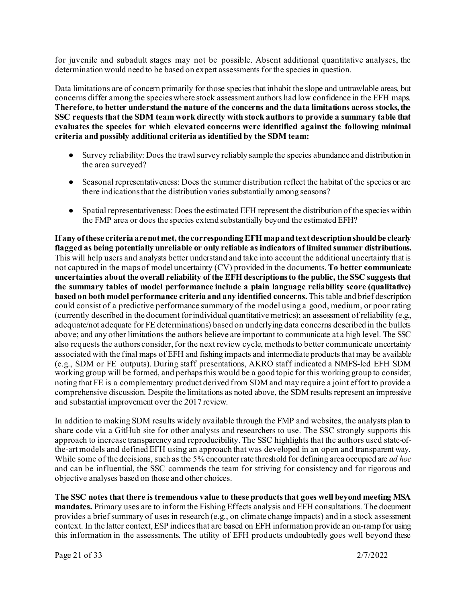for juvenile and subadult stages may not be possible. Absent additional quantitative analyses, the determination would need to be based on expert assessments for the species in question.

Data limitations are of concern primarily for those species that inhabit the slope and untrawlable areas, but concerns differ among the species where stock assessment authors had low confidence in the EFH maps. **Therefore, to better understand the nature of the concerns and the data limitations across stocks, the SSC requests that the SDM team work directly with stock authors to provide a summary table that evaluates the species for which elevated concerns were identified against the following minimal criteria and possibly additional criteria as identified by the SDM team:**

- Survey reliability: Does the trawl survey reliably sample the species abundance and distribution in the area surveyed?
- Seasonal representativeness: Does the summer distribution reflect the habitat of the species or are there indications that the distribution varies substantially among seasons?
- Spatial representativeness: Does the estimated EFH represent the distribution of the species within the FMP area or does the species extend substantially beyond the estimated EFH?

**If any of these criteria are not met, the corresponding EFH map and text description should be clearly flagged as being potentially unreliable or only reliable as indicators of limited summer distributions.** This will help users and analysts better understand and take into account the additional uncertainty that is not captured in the maps of model uncertainty (CV) provided in the documents. **To better communicate uncertainties about the overall reliability of the EFH descriptions to the public, the SSC suggests that the summary tables of model performance include a plain language reliability score (qualitative) based on both model performance criteria and any identified concerns.** This table and brief description could consist of a predictive performance summary of the model using a good, medium, or poor rating (currently described in the document for individual quantitative metrics); an assessment of reliability (e.g., adequate/not adequate for FE determinations) based on underlying data concerns described in the bullets above; and any other limitations the authors believe are important to communicate at a high level. The SSC also requests the authors consider, for the next review cycle, methods to better communicate uncertainty associated with the final maps of EFH and fishing impacts and intermediate products that may be available (e.g., SDM or FE outputs). During staff presentations, AKRO staff indicated a NMFS-led EFH SDM working group will be formed, and perhaps this would be a good topic for this working group to consider, noting that FE is a complementary product derived from SDM and may require a joint effort to provide a comprehensive discussion. Despite the limitations as noted above, the SDM results represent an impressive and substantial improvement over the 2017 review.

In addition to making SDM results widely available through the FMP and websites, the analysts plan to share code via a GitHub site for other analysts and researchers to use. The SSC strongly supports this approach to increase transparency and reproducibility. The SSC highlights that the authors used state-ofthe-art models and defined EFH using an approach that was developed in an open and transparent way. While some of the decisions, such as the 5% encounter rate threshold for defining area occupied are *ad hoc* and can be influential, the SSC commends the team for striving for consistency and for rigorous and objective analyses based on those and other choices.

**The SSC notes that there is tremendous value to these products that goes well beyond meeting MSA mandates.** Primary uses are to inform the Fishing Effects analysis and EFH consultations. The document provides a brief summary of uses in research (e.g., on climate change impacts) and in a stock assessment context. In the latter context, ESP indices that are based on EFH information provide an on-ramp for using this information in the assessments. The utility of EFH products undoubtedly goes well beyond these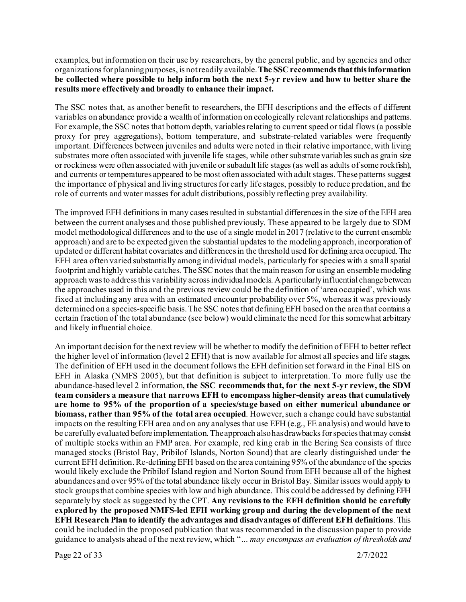examples, but information on their use by researchers, by the general public, and by agencies and other organizations for planning purposes, is not readily available. **The SSC recommends that this information be collected where possible to help inform both the next 5-yr review and how to better share the results more effectively and broadly to enhance their impact.**

The SSC notes that, as another benefit to researchers, the EFH descriptions and the effects of different variables on abundance provide a wealth of information on ecologically relevant relationships and patterns. For example, the SSC notes that bottom depth, variables relating to current speed or tidal flows (a possible proxy for prey aggregations), bottom temperature, and substrate-related variables were frequently important. Differences between juveniles and adults were noted in their relative importance, with living substrates more often associated with juvenile life stages, while other substrate variables such as grain size or rockiness were often associated with juvenile or subadult life stages (as well as adults of some rockfish), and currents or temperatures appeared to be most often associated with adult stages. These patterns suggest the importance of physical and living structures for early life stages, possibly to reduce predation, and the role of currents and water masses for adult distributions, possibly reflecting prey availability.

The improved EFH definitions in many cases resulted in substantial differences in the size of the EFH area between the current analyses and those published previously. These appeared to be largely due to SDM model methodological differences and to the use of a single model in 2017 (relative to the current ensemble approach) and are to be expected given the substantial updates to the modeling approach, incorporation of updated or different habitat covariates and differences in the threshold used for defining area occupied. The EFH area often varied substantially among individual models, particularly for species with a small spatial footprint and highly variable catches. The SSC notes that the main reason for using an ensemble modeling approach was to address this variability across individual models. A particularly influential change between the approaches used in this and the previous review could be the definition of 'area occupied', which was fixed at including any area with an estimated encounter probability over 5%, whereas it was previously determined on a species-specific basis. The SSC notes that defining EFH based on the area that contains a certain fraction of the total abundance (see below) would eliminate the need for this somewhat arbitrary and likely influential choice.

An important decision for the next review will be whether to modify the definition of EFH to better reflect the higher level of information (level 2 EFH) that is now available for almost all species and life stages. The definition of EFH used in the document follows the EFH definition set forward in the Final EIS on EFH in Alaska (NMFS 2005), but that definition is subject to interpretation. To more fully use the abundance-based level 2 information, **the SSC recommends that, for the next 5-yr review, the SDM team considers a measure that narrows EFH to encompass higher-density areas that cumulatively are home to 95% of the proportion of a species/stage based on either numerical abundance or biomass, rather than 95% of the total area occupied**. However, such a change could have substantial impacts on the resulting EFH area and on any analyses that use EFH (e.g., FE analysis) and would have to be carefully evaluated before implementation. The approach also has drawbacks for species that may consist of multiple stocks within an FMP area. For example, red king crab in the Bering Sea consists of three managed stocks (Bristol Bay, Pribilof Islands, Norton Sound) that are clearly distinguished under the current EFH definition. Re-defining EFH based on the area containing 95% of the abundance of the species would likely exclude the Pribilof Island region and Norton Sound from EFH because all of the highest abundances and over 95% of the total abundance likely occur in Bristol Bay. Similar issues would apply to stock groups that combine species with low and high abundance. This could be addressed by defining EFH separately by stock as suggested by the CPT. **Any revisions to the EFH definition should be carefully explored by the proposed NMFS-led EFH working group and during the development of the next EFH Research Plan to identify the advantages and disadvantages of different EFH definitions**. This could be included in the proposed publication that was recommended in the discussion paper to provide guidance to analysts ahead of the next review, which "*… may encompass an evaluation of thresholds and* 

Page 22 of 33 2/7/2022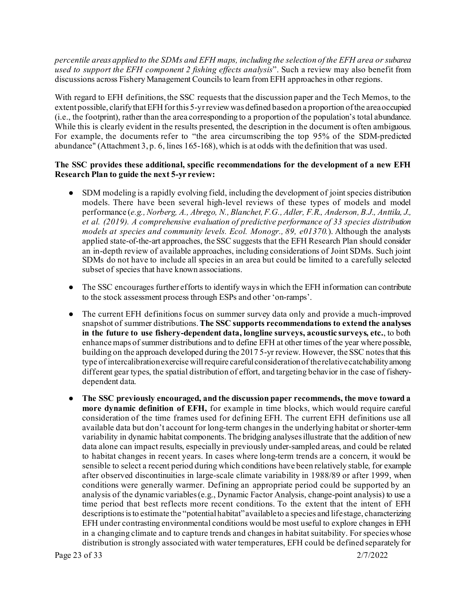*percentile areas applied to the SDMs and EFH maps, including the selection of the EFH area or subarea used to support the EFH component 2 fishing effects analysis*". Such a review may also benefit from discussions across Fishery Management Councils to learn from EFH approaches in other regions.

With regard to EFH definitions, the SSC requests that the discussion paper and the Tech Memos, to the extent possible, clarify that EFH for this 5-yr review was defined based on a proportion of the area occupied (i.e., the footprint), rather than the area corresponding to a proportion of the population's total abundance. While this is clearly evident in the results presented, the description in the document is often ambiguous. For example, the documents refer to "the area circumscribing the top 95% of the SDM-predicted abundance" (Attachment 3, p. 6, lines 165-168), which is at odds with the definition that was used.

#### **The SSC provides these additional, specific recommendations for the development of a new EFH Research Plan to guide the next 5-yr review:**

- SDM modeling is a rapidly evolving field, including the development of joint species distribution models. There have been several high-level reviews of these types of models and model performance (*e.g., Norberg, A., Abrego, N., Blanchet, F.G., Adler, F.R., Anderson, B.J., Anttila, J., et al. (2019). A comprehensive evaluation of predictive performance of 33 species distribution models at species and community levels. Ecol. Monogr., 89, e01370.*). Although the analysts applied state-of-the-art approaches, the SSC suggests that the EFH Research Plan should consider an in-depth review of available approaches, including considerations of Joint SDMs. Such joint SDMs do not have to include all species in an area but could be limited to a carefully selected subset of species that have known associations.
- The SSC encourages further efforts to identify ways in which the EFH information can contribute to the stock assessment process through ESPs and other 'on-ramps'.
- The current EFH definitions focus on summer survey data only and provide a much-improved snapshot of summer distributions. **The SSC supports recommendations to extend the analyses in the future to use fishery-dependent data, longline surveys, acoustic surveys, etc.**, to both enhance maps of summer distributions and to define EFH at other times of the year where possible, building on the approach developed during the 2017 5-yr review. However, the SSC notes that this type of intercalibration exercise will require careful consideration of the relative catchability among different gear types, the spatial distribution of effort, and targeting behavior in the case of fisherydependent data.
- **The SSC previously encouraged, and the discussion paper recommends, the move toward a more dynamic definition of EFH,** for example in time blocks, which would require careful consideration of the time frames used for defining EFH. The current EFH definitions use all available data but don't account for long-term changes in the underlying habitat or shorter-term variability in dynamic habitat components. The bridging analyses illustrate that the addition of new data alone can impact results, especially in previously under-sampled areas, and could be related to habitat changes in recent years. In cases where long-term trends are a concern, it would be sensible to select a recent period during which conditions have been relatively stable, for example after observed discontinuities in large-scale climate variability in 1988/89 or after 1999, when conditions were generally warmer. Defining an appropriate period could be supported by an analysis of the dynamic variables (e.g., Dynamic Factor Analysis, change-point analysis) to use a time period that best reflects more recent conditions. To the extent that the intent of EFH descriptions is to estimate the "potential habitat" available to a species and life stage, characterizing EFH under contrasting environmental conditions would be most useful to explore changes in EFH in a changing climate and to capture trends and changes in habitat suitability. For species whose distribution is strongly associated with water temperatures, EFH could be defined separately for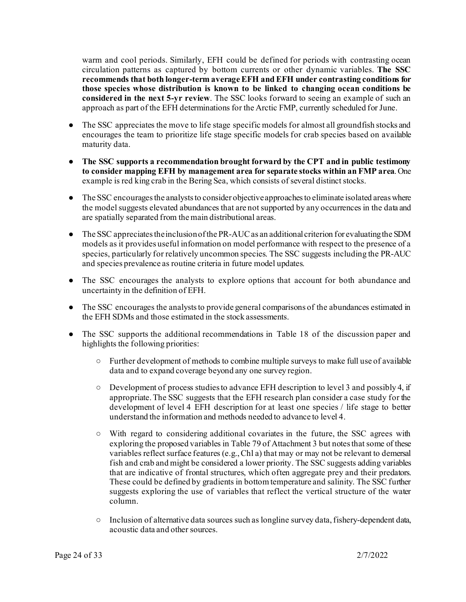warm and cool periods. Similarly, EFH could be defined for periods with contrasting ocean circulation patterns as captured by bottom currents or other dynamic variables. **The SSC recommends that both longer-term average EFH and EFH under contrasting conditions for those species whose distribution is known to be linked to changing ocean conditions be considered in the next 5-yr review**. The SSC looks forward to seeing an example of such an approach as part of the EFH determinations for the Arctic FMP, currently scheduled for June.

- The SSC appreciates the move to life stage specific models for almost all groundfish stocks and encourages the team to prioritize life stage specific models for crab species based on available maturity data.
- **The SSC supports a recommendation brought forward by the CPT and in public testimony to consider mapping EFH by management area for separate stocks within an FMP area**. One example is red king crab in the Bering Sea, which consists of several distinct stocks.
- The SSC encourages the analysts to consider objective approaches to eliminate isolated areas where the model suggests elevated abundances that are not supported by any occurrences in the data and are spatially separated from the main distributional areas.
- The SSC appreciates the inclusion of the PR-AUC as an additional criterion for evaluating the SDM models as it provides useful information on model performance with respect to the presence of a species, particularly for relatively uncommon species. The SSC suggests including the PR-AUC and species prevalence as routine criteria in future model updates.
- The SSC encourages the analysts to explore options that account for both abundance and uncertainty in the definition of EFH.
- The SSC encourages the analysts to provide general comparisons of the abundances estimated in the EFH SDMs and those estimated in the stock assessments.
- The SSC supports the additional recommendations in Table 18 of the discussion paper and highlights the following priorities:
	- Further development of methods to combine multiple surveys to make full use of available data and to expand coverage beyond any one survey region.
	- Development of process studies to advance EFH description to level 3 and possibly 4, if appropriate. The SSC suggests that the EFH research plan consider a case study for the development of level 4 EFH description for at least one species / life stage to better understand the information and methods needed to advance to level 4.
	- With regard to considering additional covariates in the future, the SSC agrees with exploring the proposed variables in Table 79 of Attachment 3 but notes that some of these variables reflect surface features (e.g., Chl a) that may or may not be relevant to demersal fish and crab and might be considered a lower priority. The SSC suggests adding variables that are indicative of frontal structures, which often aggregate prey and their predators. These could be defined by gradients in bottom temperature and salinity. The SSC further suggests exploring the use of variables that reflect the vertical structure of the water column.
	- Inclusion of alternative data sources such as longline survey data, fishery-dependent data, acoustic data and other sources.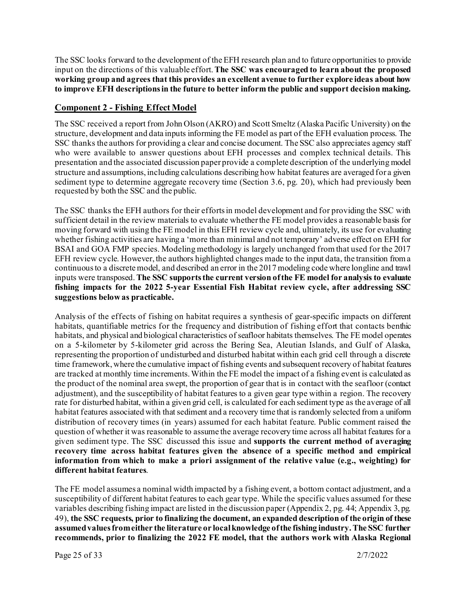The SSC looks forward to the development of the EFH research plan and to future opportunities to provide input on the directions of this valuable effort. **The SSC was encouraged to learn about the proposed working group and agrees that this provides an excellent avenue to further explore ideas about how to improve EFH descriptions in the future to better inform the public and support decision making.**

#### **Component 2 - Fishing Effect Model**

The SSC received a report from John Olson (AKRO) and Scott Smeltz (Alaska Pacific University) on the structure, development and data inputs informing the FE model as part of the EFH evaluation process. The SSC thanks the authors for providing a clear and concise document. The SSC also appreciates agency staff who were available to answer questions about EFH processes and complex technical details. This presentation and the associated discussion paper provide a complete description of the underlying model structure and assumptions, including calculations describing how habitat features are averaged for a given sediment type to determine aggregate recovery time (Section 3.6, pg. 20), which had previously been requested by both the SSC and the public.

The SSC thanks the EFH authors for their efforts in model development and for providing the SSC with sufficient detail in the review materials to evaluate whether the FE model provides a reasonable basis for moving forward with using the FE model in this EFH review cycle and, ultimately, its use for evaluating whether fishing activities are having a 'more than minimal and not temporary' adverse effect on EFH for BSAI and GOA FMP species. Modeling methodology is largely unchanged from that used for the 2017 EFH review cycle. However, the authors highlighted changes made to the input data, the transition from a continuous to a discrete model, and described an error in the 2017 modeling code where longline and trawl inputs were transposed. **The SSC supports the current version of the FE model for analysis to evaluate fishing impacts for the 2022 5-year Essential Fish Habitat review cycle, after addressing SSC suggestions below as practicable.** 

Analysis of the effects of fishing on habitat requires a synthesis of gear-specific impacts on different habitats, quantifiable metrics for the frequency and distribution of fishing effort that contacts benthic habitats, and physical and biological characteristics of seafloor habitats themselves. The FE model operates on a 5-kilometer by 5-kilometer grid across the Bering Sea, Aleutian Islands, and Gulf of Alaska, representing the proportion of undisturbed and disturbed habitat within each grid cell through a discrete time framework, where the cumulative impact of fishing events and subsequent recovery of habitat features are tracked at monthly time increments. Within the FE model the impact of a fishing event is calculated as the product of the nominal area swept, the proportion of gear that is in contact with the seafloor (contact adjustment), and the susceptibility of habitat features to a given gear type within a region. The recovery rate for disturbed habitat, within a given grid cell, is calculated for each sediment type as the average of all habitat features associated with that sediment and a recovery time that is randomly selected from a uniform distribution of recovery times (in years) assumed for each habitat feature. Public comment raised the question of whether it was reasonable to assume the average recovery time across all habitat features for a given sediment type. The SSC discussed this issue and **supports the current method of averaging recovery time across habitat features given the absence of a specific method and empirical information from which to make a priori assignment of the relative value (e.g., weighting) for different habitat features**.

The FE model assumes a nominal width impacted by a fishing event, a bottom contact adjustment, and a susceptibility of different habitat features to each gear type. While the specific values assumed for these variables describing fishing impact are listed in the discussion paper (Appendix 2, pg. 44; Appendix 3, pg. 49), **the SSC requests, prior to finalizing the document, an expanded description of the origin of these assumed values fromeither the literature or local knowledge of the fishing industry.The SSC further recommends, prior to finalizing the 2022 FE model, that the authors work with Alaska Regional**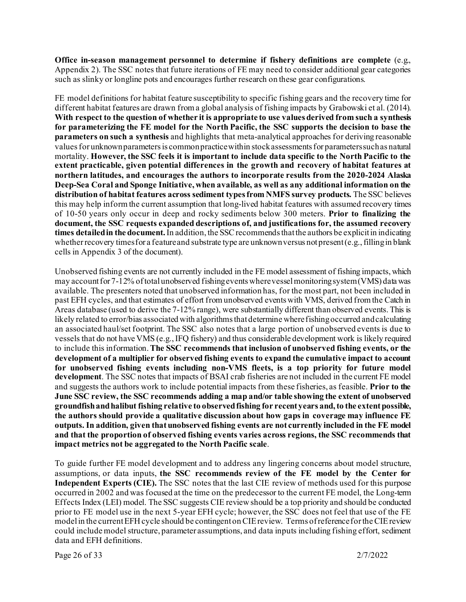**Office in-season management personnel to determine if fishery definitions are complete** (e.g., Appendix 2). The SSC notes that future iterations of FE may need to consider additional gear categories such as slinky or longline pots and encourages further research on these gear configurations.

FE model definitions for habitat feature susceptibility to specific fishing gears and the recovery time for different habitat features are drawn from a global analysis of fishing impacts by Grabowski et al. (2014). **With respect to the question of whether it is appropriate to use values derived from such a synthesis for parameterizing the FE model for the North Pacific, the SSC supports the decision to base the parameters on such a synthesis** and highlights that meta-analytical approaches for deriving reasonable values for unknown parameters is common practice within stock assessments for parameters such as natural mortality. **However, the SSC feels it is important to include data specific to the North Pacific to the extent practicable, given potential differences in the growth and recovery of habitat features at northern latitudes, and encourages the authors to incorporate results from the 2020-2024 Alaska Deep-Sea Coral and Sponge Initiative, when available, as well as any additional information on the distribution of habitat features across sediment types from NMFS survey products.** The SSC believes this may help inform the current assumption that long-lived habitat features with assumed recovery times of 10-50 years only occur in deep and rocky sediments below 300 meters. **Prior to finalizing the document, the SSC requests expanded descriptions of, and justifications for, the assumed recovery times detailed in the document.** In addition, the SSC recommends that the authors be explicit in indicating whether recovery times for a feature and substrate type are unknown versus not present (e.g., filling in blank cells in Appendix 3 of the document).

Unobserved fishing events are not currently included in the FE model assessment of fishing impacts, which may account for 7-12% of total unobserved fishing events where vessel monitoring system (VMS) data was available. The presenters noted that unobserved information has, for the most part, not been included in past EFH cycles, and that estimates of effort from unobserved events with VMS, derived from the Catch in Areas database (used to derive the 7-12% range), were substantially different than observed events. This is likely related to error/bias associated with algorithms that determine where fishing occurred and calculating an associated haul/set footprint. The SSC also notes that a large portion of unobserved events is due to vessels that do not have VMS (e.g., IFQ fishery) and thus considerable development work is likely required to include this information. **The SSC recommends that inclusion of unobserved fishing events, or the development of a multiplier for observed fishing events to expand the cumulative impact to account for unobserved fishing events including non-VMS fleets, is a top priority for future model development**. The SSC notes that impacts of BSAI crab fisheries are not included in the current FE model and suggests the authors work to include potential impacts from these fisheries, as feasible. **Prior to the June SSC review, the SSC recommends adding a map and/or table showing the extent of unobserved groundfish and halibut fishing relative to observed fishing for recent years and, to the extent possible, the authors should provide a qualitative discussion about how gaps in coverage may influence FE outputs. In addition, given that unobserved fishing events are not currently included in the FE model and that the proportion of observed fishing events varies across regions, the SSC recommends that impact metrics not be aggregated to the North Pacific scale**.

To guide further FE model development and to address any lingering concerns about model structure, assumptions, or data inputs, **the SSC recommends review of the FE model by the Center for Independent Experts (CIE).** The SSC notes that the last CIE review of methods used for this purpose occurred in 2002 and was focused at the time on the predecessor to the current FE model, the Long-term Effects Index (LEI) model. The SSC suggests CIE review should be a top priority and should be conducted prior to FE model use in the next 5-year EFH cycle; however, the SSC does not feel that use of the FE model in the current EFH cycle should be contingent on CIE review. Terms of reference for the CIE review could include model structure, parameter assumptions, and data inputs including fishing effort, sediment data and EFH definitions.

Page 26 of 33 2/7/2022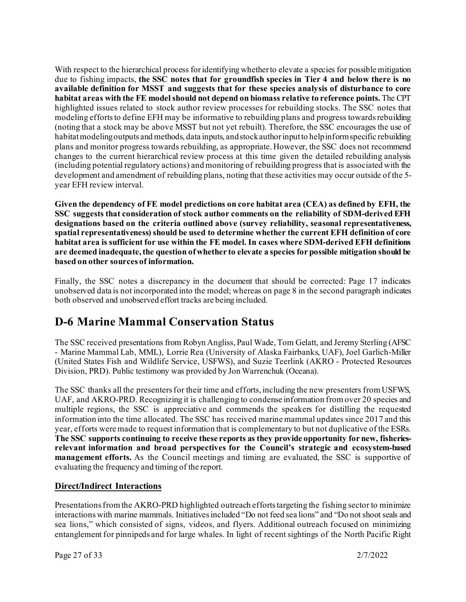With respect to the hierarchical process for identifying whether to elevate a species for possible mitigation due to fishing impacts, **the SSC notes that for groundfish species in Tier 4 and below there is no available definition for MSST and suggests that for these species analysis of disturbance to core habitat areas with the FE model should not depend on biomass relative to reference points.** The CPT highlighted issues related to stock author review processes for rebuilding stocks. The SSC notes that modeling efforts to define EFH may be informative to rebuilding plans and progress towards rebuilding (noting that a stock may be above MSST but not yet rebuilt). Therefore, the SSC encourages the use of habitat modeling outputs and methods, data inputs, and stock author input to help inform specific rebuilding plans and monitor progress towards rebuilding, as appropriate. However, the SSC does not recommend changes to the current hierarchical review process at this time given the detailed rebuilding analysis (including potential regulatory actions) and monitoring of rebuilding progress that is associated with the development and amendment of rebuilding plans, noting that these activities may occur outside of the 5 year EFH review interval.

**Given the dependency of FE model predictions on core habitat area (CEA) as defined by EFH, the SSC suggests that consideration of stock author comments on the reliability of SDM-derived EFH designations based on the criteria outlined above (survey reliability, seasonal representativeness, spatial representativeness) should be used to determine whether the current EFH definition of core habitat area is sufficient for use within the FE model. In cases where SDM-derived EFH definitions are deemed inadequate, the question of whether to elevate a species for possible mitigation should be based on other sources of information.**

Finally, the SSC notes a discrepancy in the document that should be corrected: Page 17 indicates unobserved data is not incorporated into the model; whereas on page 8 in the second paragraph indicates both observed and unobserved effort tracks are being included.

## **D-6 Marine Mammal Conservation Status**

The SSC received presentations from Robyn Angliss, Paul Wade, Tom Gelatt, and Jeremy Sterling (AFSC - Marine Mammal Lab, MML), Lorrie Rea (University of Alaska Fairbanks, UAF), Joel Garlich-Miller (United States Fish and Wildlife Service, USFWS), and Suzie Teerlink (AKRO - Protected Resources Division, PRD). Public testimony was provided by Jon Warrenchuk (Oceana).

The SSC thanks all the presenters for their time and efforts, including the new presenters from USFWS, UAF, and AKRO-PRD. Recognizing it is challenging to condense information from over 20 species and multiple regions, the SSC is appreciative and commends the speakers for distilling the requested information into the time allocated. The SSC has received marine mammal updates since 2017 and this year, efforts were made to request information that is complementary to but not duplicative of the ESRs. **The SSC supports continuing to receive these reports as they provide opportunity for new, fisheriesrelevant information and broad perspectives for the Council's strategic and ecosystem-based management efforts.** As the Council meetings and timing are evaluated, the SSC is supportive of evaluating the frequency and timing of the report.

## **Direct/Indirect Interactions**

Presentations from the AKRO-PRD highlighted outreach efforts targeting the fishing sector to minimize interactions with marine mammals. Initiativesincluded "Do not feed sea lions" and "Do not shoot seals and sea lions," which consisted of signs, videos, and flyers. Additional outreach focused on minimizing entanglement for pinnipeds and for large whales. In light of recent sightings of the North Pacific Right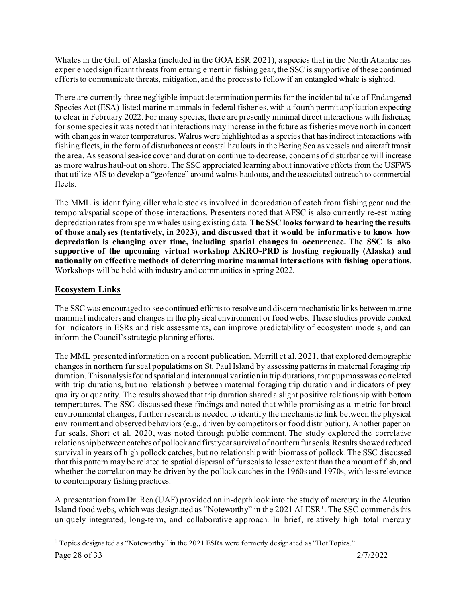Whales in the Gulf of Alaska (included in the GOA ESR 2021), a species that in the North Atlantic has experienced significant threats from entanglement in fishing gear, the SSC is supportive of these continued efforts to communicate threats, mitigation, and the process to follow if an entangled whale is sighted.

There are currently three negligible impact determination permits for the incidental take of Endangered Species Act (ESA)-listed marine mammals in federal fisheries, with a fourth permit application expecting to clear in February 2022. For many species, there are presently minimal direct interactions with fisheries; for some species it was noted that interactions may increase in the future as fisheries move north in concert with changes in water temperatures. Walrus were highlighted as a species that has indirect interactions with fishing fleets, in the form of disturbances at coastal haulouts in the Bering Sea as vessels and aircraft transit the area. As seasonal sea-ice cover and duration continue to decrease, concerns of disturbance will increase as more walrus haul-out on shore. The SSC appreciated learning about innovative efforts from the USFWS that utilize AIS to develop a "geofence" around walrus haulouts, and the associated outreach to commercial fleets.

The MML is identifying killer whale stocks involved in depredation of catch from fishing gear and the temporal/spatial scope of those interactions. Presenters noted that AFSC is also currently re-estimating depredation rates from sperm whales using existing data. **The SSC looks forward to hearing the results of those analyses (tentatively, in 2023), and discussed that it would be informative to know how depredation is changing over time, including spatial changes in occurrence. The SSC is also supportive of the upcoming virtual workshop AKRO-PRD is hosting regionally (Alaska) and nationally on effective methods of deterring marine mammal interactions with fishing operations**. Workshops will be held with industry and communities in spring 2022.

## **Ecosystem Links**

The SSC was encouraged to see continued efforts to resolve and discern mechanistic links between marine mammal indicators and changes in the physical environment or food webs. These studies provide context for indicators in ESRs and risk assessments, can improve predictability of ecosystem models, and can inform the Council's strategic planning efforts.

The MML presented information on a recent publication, Merrill et al. 2021, that explored demographic changes in northern fur seal populations on St. Paul Island by assessing patterns in maternal foraging trip duration. This analysis found spatial and interannual variation in trip durations, that pup mass was correlated with trip durations, but no relationship between maternal foraging trip duration and indicators of prey quality or quantity. The results showed that trip duration shared a slight positive relationship with bottom temperatures. The SSC discussed these findings and noted that while promising as a metric for broad environmental changes, further research is needed to identify the mechanistic link between the physical environment and observed behaviors (e.g., driven by competitors or food distribution). Another paper on fur seals, Short et al. 2020, was noted through public comment. The study explored the correlative relationship between catches of pollock and first year survival of northern fur seals. Results showed reduced survival in years of high pollock catches, but no relationship with biomass of pollock. The SSC discussed that this pattern may be related to spatial dispersal of fur seals to lesser extent than the amount of fish, and whether the correlation may be driven by the pollock catches in the 1960s and 1970s, with less relevance to contemporary fishing practices.

A presentation from Dr. Rea (UAF) provided an in-depth look into the study of mercury in the Aleutian Island food webs, which was designated as "Noteworthy" in the 202[1](#page-27-0) AI ESR<sup>1</sup>. The SSC commends this uniquely integrated, long-term, and collaborative approach. In brief, relatively high total mercury

<span id="page-27-0"></span><sup>&</sup>lt;sup>1</sup> Topics designated as "Noteworthy" in the 2021 ESRs were formerly designated as "Hot Topics."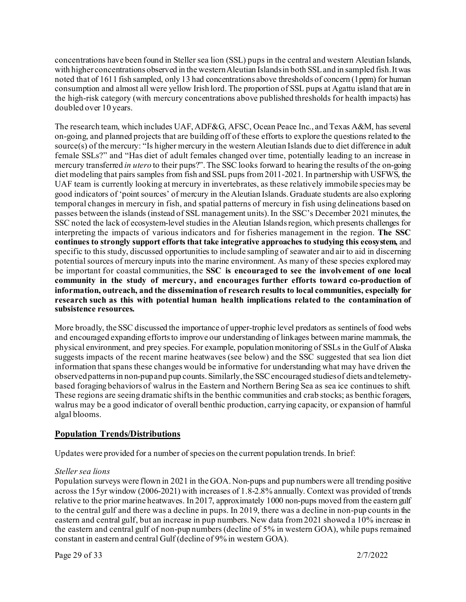concentrations have been found in Steller sea lion (SSL) pups in the central and western Aleutian Islands, with higher concentrations observed in the western Aleutian Islands in both SSL and in sampled fish. It was noted that of 1611 fish sampled, only 13 had concentrations above thresholds of concern (1ppm) for human consumption and almost all were yellow Irish lord. The proportion of SSL pups at Agattu island that are in the high-risk category (with mercury concentrations above published thresholds for health impacts) has doubled over 10 years.

The research team, which includes UAF, ADF&G, AFSC, Ocean Peace Inc., and Texas A&M, has several on-going, and planned projects that are building off of these efforts to explore the questions related to the source(s) of the mercury: "Is higher mercury in the western Aleutian Islands due to diet difference in adult female SSLs?" and "Has diet of adult females changed over time, potentially leading to an increase in mercury transferred *in utero* to their pups?". The SSC looks forward to hearing the results of the on-going diet modeling that pairs samples from fish and SSL pups from 2011-2021. In partnership with USFWS, the UAF team is currently looking at mercury in invertebrates, as these relatively immobile species may be good indicators of 'point sources' of mercury in the Aleutian Islands. Graduate students are also exploring temporal changes in mercury in fish, and spatial patterns of mercury in fish using delineations based on passes between the islands (instead of SSL management units). In the SSC's December 2021 minutes, the SSC noted the lack of ecosystem-level studies in the Aleutian Islands region, which presents challenges for interpreting the impacts of various indicators and for fisheries management in the region. **The SSC continues to strongly support efforts that take integrative approaches to studying this ecosystem,** and specific to this study, discussed opportunities to include sampling of seawater and air to aid in discerning potential sources of mercury inputs into the marine environment. As many of these species explored may be important for coastal communities, the **SSC is encouraged to see the involvement of one local community in the study of mercury, and encourages further efforts toward co-production of information, outreach, and the dissemination of research results to local communities, especially for research such as this with potential human health implications related to the contamination of subsistence resources.**

More broadly, the SSC discussed the importance of upper-trophic level predators as sentinels of food webs and encouraged expanding efforts to improve our understanding of linkages between marine mammals, the physical environment, and prey species. For example, population monitoring of SSLs in the Gulf of Alaska suggests impacts of the recent marine heatwaves (see below) and the SSC suggested that sea lion diet information that spans these changes would be informative for understanding what may have driven the observed patterns in non-pup and pup counts. Similarly, the SSC encouraged studies of diets and telemetrybased foraging behaviors of walrus in the Eastern and Northern Bering Sea as sea ice continues to shift. These regions are seeing dramatic shifts in the benthic communities and crab stocks; as benthic foragers, walrus may be a good indicator of overall benthic production, carrying capacity, or expansion of harmful algal blooms.

## **Population Trends/Distributions**

Updates were provided for a number of species on the current population trends. In brief:

#### *Steller sea lions*

Population surveys were flown in 2021 in the GOA. Non-pups and pup numbers were all trending positive across the 15yr window (2006-2021) with increases of 1.8-2.8% annually. Context was provided of trends relative to the prior marine heatwaves. In 2017, approximately 1000 non-pups moved from the eastern gulf to the central gulf and there was a decline in pups. In 2019, there was a decline in non-pup counts in the eastern and central gulf, but an increase in pup numbers. New data from 2021 showed a 10% increase in the eastern and central gulf of non-pup numbers (decline of 5% in western GOA), while pups remained constant in eastern and central Gulf (decline of 9% in western GOA).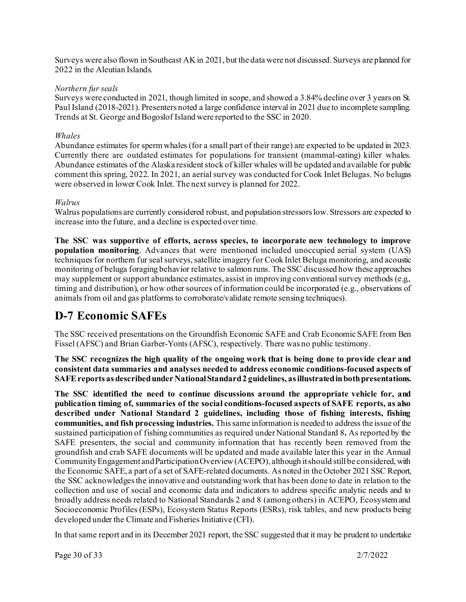Surveys were also flown in Southeast AK in 2021, but the data were not discussed. Surveys are planned for 2022 in the Aleutian Islands.

#### *Northern fur seals*

Surveys were conducted in 2021, though limited in scope, and showed a 3.84% decline over 3 years on St. Paul Island (2018-2021). Presenters noted a large confidence interval in 2021 due to incomplete sampling. Trends at St. George and Bogoslof Island were reported to the SSC in 2020.

#### *Whales*

Abundance estimates for sperm whales (for a small part of their range) are expected to be updated in 2023. Currently there are outdated estimates for populations for transient (mammal-eating) killer whales. Abundance estimates of the Alaska resident stock of killer whales will be updated and available for public comment this spring, 2022. In 2021, an aerial survey was conducted for Cook Inlet Belugas. No belugas were observed in lower Cook Inlet. The next survey is planned for 2022.

#### *Walrus*

Walrus populations are currently considered robust, and population stressors low. Stressors are expected to increase into the future, and a decline is expected over time.

**The SSC was supportive of efforts, across species, to incorporate new technology to improve population monitoring**. Advances that were mentioned included unoccupied aerial system (UAS) techniques for northern fur seal surveys, satellite imagery for Cook Inlet Beluga monitoring, and acoustic monitoring of beluga foraging behavior relative to salmon runs. The SSC discussed how these approaches may supplement or support abundance estimates, assist in improving conventional survey methods (e.g., timing and distribution), or how other sources of information could be incorporated (e.g., observations of animals from oil and gas platforms to corroborate/validate remote sensing techniques).

## **D-7 Economic SAFEs**

The SSC received presentations on the Groundfish Economic SAFE and Crab Economic SAFE from Ben Fissel (AFSC) and Brian Garber-Yonts (AFSC), respectively. There was no public testimony.

**The SSC recognizes the high quality of the ongoing work that is being done to provide clear and consistent data summaries and analyses needed to address economic conditions-focused aspects of SAFE reports as described under National Standard 2 guidelines, as illustrated in both presentations.**

**The SSC identified the need to continue discussions around the appropriate vehicle for, and publication timing of, summaries of the social conditions-focused aspects of SAFE reports, as also described under National Standard 2 guidelines, including those of fishing interests, fishing communities, and fish processing industries.** This same information is needed to address the issue of the sustained participation of fishing communities as required under National Standard 8**.** As reported by the SAFE presenters, the social and community information that has recently been removed from the groundfish and crab SAFE documents will be updated and made available later this year in the Annual Community Engagement and Participation Overview (ACEPO), although it should still be considered, with the Economic SAFE, a part of a set of SAFE-related documents. As noted in the October 2021 SSC Report, the SSC acknowledges the innovative and outstanding work that has been done to date in relation to the collection and use of social and economic data and indicators to address specific analytic needs and to broadly address needs related to National Standards 2 and 8 (among others) in ACEPO, Ecosystem and Socioeconomic Profiles (ESPs), Ecosystem Status Reports (ESRs), risk tables, and new products being developed under the Climate and Fisheries Initiative (CFI).

In that same report and in its December 2021 report, the SSC suggested that it may be prudent to undertake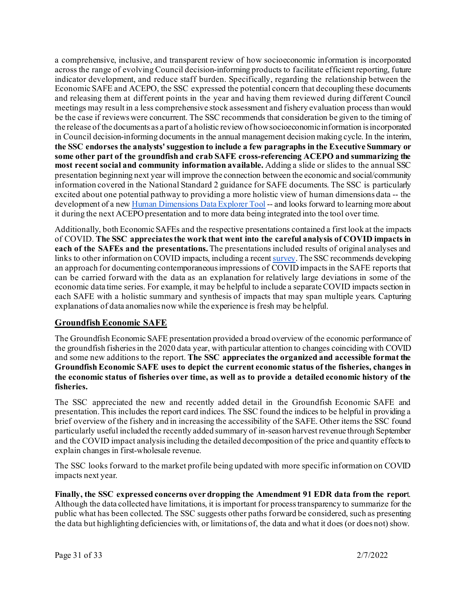a comprehensive, inclusive, and transparent review of how socioeconomic information is incorporated across the range of evolving Council decision-informing products to facilitate efficient reporting, future indicator development, and reduce staff burden. Specifically, regarding the relationship between the Economic SAFE and ACEPO, the SSC expressed the potential concern that decoupling these documents and releasing them at different points in the year and having them reviewed during different Council meetings may result in a less comprehensive stock assessment and fishery evaluation process than would be the case if reviews were concurrent. The SSC recommends that consideration be given to the timing of the release of the documents as a part of a holistic review of how socioeconomic information is incorporated in Council decision-informing documents in the annual management decision making cycle. In the interim, **the SSC endorses the analysts' suggestion to include a few paragraphs in the Executive Summary or some other part of the groundfish and crab SAFE cross-referencing ACEPO and summarizing the most recent social and community information available.** Adding a slide or slides to the annual SSC presentation beginning next year will improve the connection between the economic and social/community information covered in the National Standard 2 guidance for SAFE documents. The SSC is particularly excited about one potential pathway to providing a more holistic view of human dimensions data -- the development of a ne[w](https://reports.psmfc.org/akfin/f?p=501:2000) [Human Dimensions Data Explorer Tool](https://reports.psmfc.org/akfin/f?p=501:2000) -- and looks forward to learning more about it during the next ACEPO presentation and to more data being integrated into the tool over time.

Additionally, both Economic SAFEs and the respective presentations contained a first look at the impacts of COVID. **The SSC appreciates the work that went into the careful analysis of COVID impacts in each of the SAFEs and the presentations.** The presentations included results of original analyses and links to other information on COVID impacts, including a recent survey. The SSC recommends developing an approach for documenting contemporaneous impressions of COVID impacts in the SAFE reports that can be carried forward with the data as an explanation for relatively large deviations in some of the economic data time series. For example, it may be helpful to include a separate COVID impacts section in each SAFE with a holistic summary and synthesis of impacts that may span multiple years. Capturing explanations of data anomalies now while the experience is fresh may be helpful.

## **Groundfish Economic SAFE**

The Groundfish Economic SAFE presentation provided a broad overview of the economic performance of the groundfish fisheries in the 2020 data year, with particular attention to changes coinciding with COVID and some new additions to the report. **The SSC appreciates the organized and accessible format the Groundfish Economic SAFE uses to depict the current economic status of the fisheries, changes in the economic status of fisheries over time, as well as to provide a detailed economic history of the fisheries.**

The SSC appreciated the new and recently added detail in the Groundfish Economic SAFE and presentation. This includes the report card indices. The SSC found the indices to be helpful in providing a brief overview of the fishery and in increasing the accessibility of the SAFE. Other items the SSC found particularly useful included the recently added summary of in-season harvest revenue through September and the COVID impact analysis including the detailed decomposition of the price and quantity effects to explain changes in first-wholesale revenue.

The SSC looks forward to the market profile being updated with more specific information on COVID impacts next year.

**Finally, the SSC expressed concerns over dropping the Amendment 91 EDR data from the repor**t. Although the data collected have limitations, it is important for process transparency to summarize for the public what has been collected. The SSC suggests other paths forward be considered, such as presenting the data but highlighting deficiencies with, or limitations of, the data and what it does (or does not) show.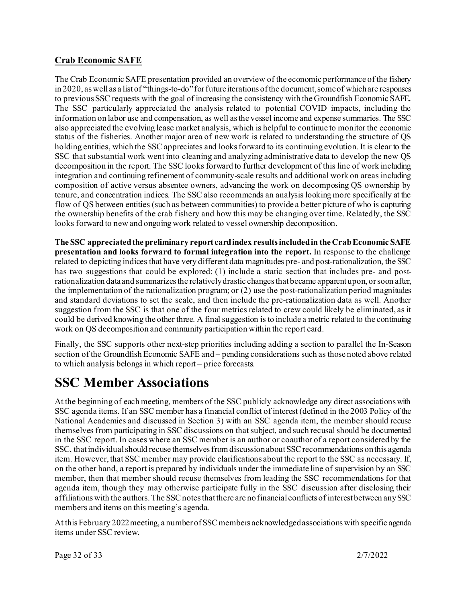## **Crab Economic SAFE**

The Crab Economic SAFE presentation provided an overview of the economic performance of the fishery in 2020, as well as a list of "things-to-do" for future iterations of the document, some of which are responses to previous SSC requests with the goal of increasing the consistency with the Groundfish Economic SAFE**.**  The SSC particularly appreciated the analysis related to potential COVID impacts, including the information on labor use and compensation, as well as the vessel income and expense summaries. The SSC also appreciated the evolving lease market analysis, which is helpful to continue to monitor the economic status of the fisheries. Another major area of new work is related to understanding the structure of QS holding entities, which the SSC appreciates and looks forward to its continuing evolution. It is clear to the SSC that substantial work went into cleaning and analyzing administrative data to develop the new QS decomposition in the report. The SSC looks forward to further development of this line of work including integration and continuing refinement of community-scale results and additional work on areas including composition of active versus absentee owners, advancing the work on decomposing QS ownership by tenure, and concentration indices. The SSC also recommends an analysis looking more specifically at the flow of QS between entities (such as between communities) to provide a better picture of who is capturing the ownership benefits of the crab fishery and how this may be changing over time. Relatedly, the SSC looks forward to new and ongoing work related to vessel ownership decomposition.

**The SSC appreciated the preliminary report card index results included in the Crab Economic SAFE presentation and looks forward to formal integration into the report.** In response to the challenge related to depicting indices that have very different data magnitudes pre- and post-rationalization, the SSC has two suggestions that could be explored: (1) include a static section that includes pre- and postrationalization data and summarizes the relatively drastic changes that became apparent upon, or soon after, the implementation of the rationalization program; or (2) use the post-rationalization period magnitudes and standard deviations to set the scale, and then include the pre-rationalization data as well. Another suggestion from the SSC is that one of the four metrics related to crew could likely be eliminated, as it could be derived knowing the other three. A final suggestion is to include a metric related to the continuing work on QS decomposition and community participation within the report card.

Finally, the SSC supports other next-step priorities including adding a section to parallel the In-Season section of the Groundfish Economic SAFE and – pending considerations such as those noted above related to which analysis belongs in which report – price forecasts.

# **SSC Member Associations**

At the beginning of each meeting, members of the SSC publicly acknowledge any direct associations with SSC agenda items. If an SSC member has a financial conflict of interest (defined in the 2003 Policy of the National Academies and discussed in Section 3) with an SSC agenda item, the member should recuse themselves from participating in SSC discussions on that subject, and such recusal should be documented in the SSC report. In cases where an SSC member is an author or coauthor of a report considered by the SSC, that individual should recuse themselves from discussion about SSC recommendations on this agenda item. However, that SSC member may provide clarifications about the report to the SSC as necessary. If, on the other hand, a report is prepared by individuals under the immediate line of supervision by an SSC member, then that member should recuse themselves from leading the SSC recommendations for that agenda item, though they may otherwise participate fully in the SSC discussion after disclosing their affiliations with the authors. The SSC notes that there are no financial conflicts of interest between any SSC members and items on this meeting's agenda.

At this February 2022 meeting, a number of SSC members acknowledged associations with specific agenda items under SSC review.